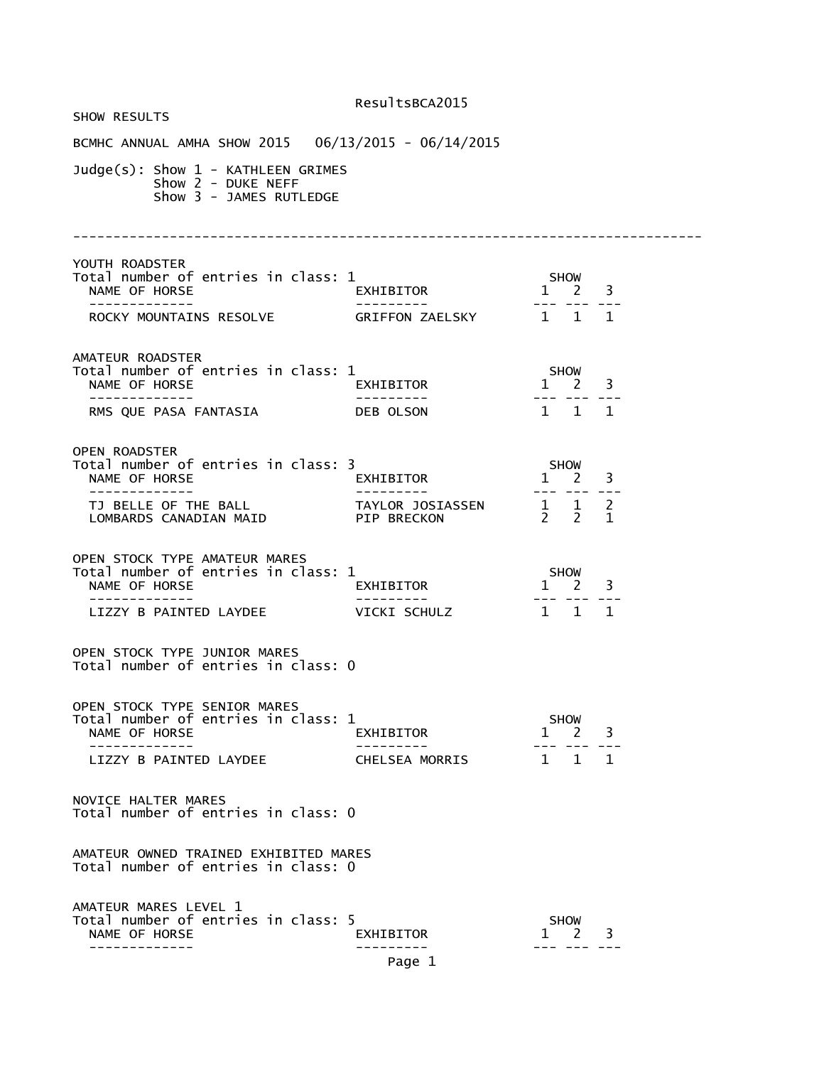| <b>SHOW RESULTS</b>                                                                                                          |                             |                                                                      |
|------------------------------------------------------------------------------------------------------------------------------|-----------------------------|----------------------------------------------------------------------|
| BCMHC ANNUAL AMHA SHOW 2015  06/13/2015 - 06/14/2015                                                                         |                             |                                                                      |
| $Judge(s)$ : Show $1$ - KATHLEEN GRIMES<br>Show 2 - DUKE NEFF<br>Show 3 - JAMES RUTLEDGE                                     |                             |                                                                      |
| YOUTH ROADSTER<br>Total number of entries in class: 1<br>NAME OF HORSE<br>ROCKY MOUNTAINS RESOLVE GRIFFON ZAELSKY 1 1 1      | _<br>EXHIBITOR<br>--------- | $5 \text{HOW}$<br>1 2 3<br>--- --- ---                               |
|                                                                                                                              |                             |                                                                      |
| AMATEUR ROADSTER<br>Total number of entries in class: 1<br>NAME OF HORSE<br>-------------<br>RMS QUE PASA FANTASIA DEB OLSON | EXHIBITOR<br>_________      | <b>SHOW</b><br>$1 \quad 2 \quad 3$<br>$1 \quad 1 \quad 1$            |
| <b>OPEN ROADSTER</b><br>Total number of entries in class: 3                                                                  | EXHIBITOR<br>--------       | <b>SHOW</b><br>$1 \quad 2 \quad 3$<br>--- --- ---                    |
|                                                                                                                              |                             |                                                                      |
| OPEN STOCK TYPE AMATEUR MARES<br>Total number of entries in class: 1<br>NAME OF HORSE                                        | L<br>EXHIBITOR              | <b>SHOW</b><br>$1 \quad 2 \quad 3$                                   |
| LIZZY B PAINTED LAYDEE VICKI SCHULZ                                                                                          |                             | 1 1 1                                                                |
| OPEN STOCK TYPE JUNIOR MARES<br>Total number of entries in class: 0                                                          |                             |                                                                      |
| OPEN STOCK TYPE SENIOR MARES<br>Total number of entries in class: 1<br>NAME OF HORSE<br>LIZZY B PAINTED LAYDEE               | EXHIBITOR<br>CHELSEA MORRIS | <b>SHOW</b><br>3<br>$\mathbf{1}$<br>2<br>$1 \quad 1$<br>$\mathbf{1}$ |
| NOVICE HALTER MARES<br>Total number of entries in class: 0                                                                   |                             |                                                                      |
| AMATEUR OWNED TRAINED EXHIBITED MARES<br>Total number of entries in class: 0                                                 |                             |                                                                      |
| AMATEUR MARES LEVEL 1<br>Total number of entries in class: 5<br>NAME OF HORSE                                                | EXHIBITOR<br>Page 1         | <b>SHOW</b><br>2<br>3<br>$\mathbf{L}$                                |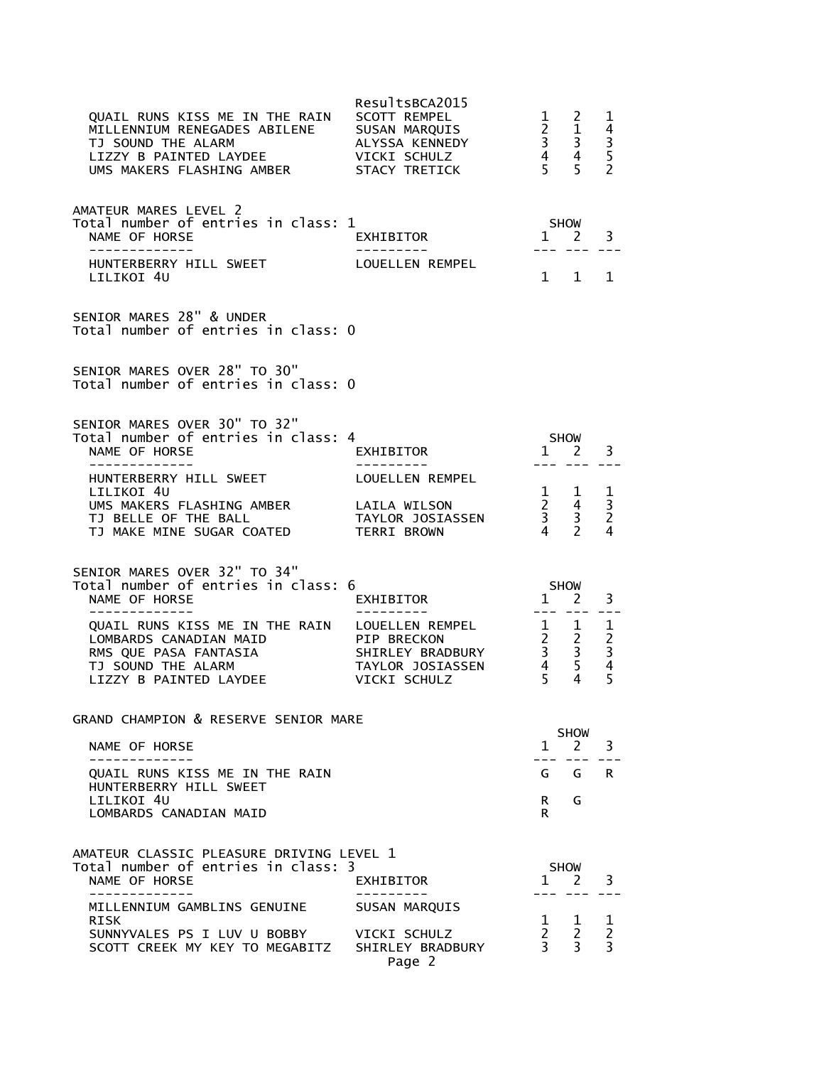| QUAIL RUNS KISS ME IN THE RAIN<br>MILLENNIUM RENEGADES ABILENE<br>TJ SOUND THE ALARM<br>LIZZY B PAINTED LAYDEE<br>UMS MAKERS FLASHING AMBER       | ResultsBCA2015<br>SCOTT REMPEL<br>SUSAN MARQUIS<br>ALYSSA KENNEDY<br>VICKI SCHULZ<br>STACY TRETICK | $1 \quad 2$<br>$\begin{array}{ccc} 2 & 1 \\ 3 & 3 \\ 4 & 4 \end{array}$<br>5 <sup>5</sup> | 5                                                                                                                                                                                                                                                                                                                                                                                                                   | ı<br>$\begin{array}{c} 4 \\ 3 \\ 5 \\ 2 \end{array}$ |
|---------------------------------------------------------------------------------------------------------------------------------------------------|----------------------------------------------------------------------------------------------------|-------------------------------------------------------------------------------------------|---------------------------------------------------------------------------------------------------------------------------------------------------------------------------------------------------------------------------------------------------------------------------------------------------------------------------------------------------------------------------------------------------------------------|------------------------------------------------------|
| AMATEUR MARES LEVEL 2<br>Total number of entries in class: 1<br>NAME OF HORSE<br>-------------<br>HUNTERBERRY HILL SWEET                          | EXHIBITOR<br>LOUELLEN REMPEL                                                                       |                                                                                           | SHOW<br>$1 \quad 2$<br>$\frac{1}{2} \frac{1}{2} \frac{1}{2} \frac{1}{2} \frac{1}{2} \frac{1}{2} \frac{1}{2} \frac{1}{2} \frac{1}{2} \frac{1}{2} \frac{1}{2} \frac{1}{2} \frac{1}{2} \frac{1}{2} \frac{1}{2} \frac{1}{2} \frac{1}{2} \frac{1}{2} \frac{1}{2} \frac{1}{2} \frac{1}{2} \frac{1}{2} \frac{1}{2} \frac{1}{2} \frac{1}{2} \frac{1}{2} \frac{1}{2} \frac{1}{2} \frac{1}{2} \frac{1}{2} \frac{1}{2} \frac{$ | 3                                                    |
| LILIKOI 4U                                                                                                                                        |                                                                                                    | $1 \quad$                                                                                 | $\mathbf{1}$                                                                                                                                                                                                                                                                                                                                                                                                        | $\mathbf 1$                                          |
| SENIOR MARES 28" & UNDER<br>Total number of entries in class: 0                                                                                   |                                                                                                    |                                                                                           |                                                                                                                                                                                                                                                                                                                                                                                                                     |                                                      |
| SENIOR MARES OVER 28" TO 30"<br>Total number of entries in class: 0                                                                               |                                                                                                    |                                                                                           |                                                                                                                                                                                                                                                                                                                                                                                                                     |                                                      |
| SENIOR MARES OVER 30" TO 32"<br>Total number of entries in class: 4<br>NAME OF HORSE<br>-------------                                             | EXHIBITOR                                                                                          | $-- -$                                                                                    | SHOW<br>1 2                                                                                                                                                                                                                                                                                                                                                                                                         | 3                                                    |
| HUNTERBERRY HILL SWEET<br>LILIKOI 4U                                                                                                              | LOUELLEN REMPEL                                                                                    |                                                                                           |                                                                                                                                                                                                                                                                                                                                                                                                                     | $\mathbf{1}$                                         |
| UMS MAKERS FLASHING AMBER<br>TJ BELLE OF THE BALL<br>TJ MAKE MINE SUGAR COATED                                                                    | LAILA WILSON<br>TAYLOR JOSIASSEN<br>TERRI BROWN                                                    | $\begin{array}{ccc} 1 & 1 \\ 2 & 4 \\ 3 & 3 \\ 4 & 2 \end{array}$                         |                                                                                                                                                                                                                                                                                                                                                                                                                     | $\overline{3}$<br>2<br>4                             |
| SENIOR MARES OVER 32" TO 34"<br>Total number of entries in class: 6                                                                               |                                                                                                    | <b>SHOW</b>                                                                               |                                                                                                                                                                                                                                                                                                                                                                                                                     |                                                      |
| NAME OF HORSE<br>-------------                                                                                                                    | EXHIBITOR                                                                                          | $\overline{1}$                                                                            | 2                                                                                                                                                                                                                                                                                                                                                                                                                   | 3                                                    |
| QUAIL RUNS KISS ME IN THE RAIN LOUELLEN REMPEL<br>LOMBARDS CANADIAN MAID<br>RMS QUE PASA FANTASIA<br>TJ SOUND THE ALARM<br>LIZZY B PAINTED LAYDEE | PIP BRECKON<br>SHIRLEY BRADBURY<br>TAYLOR JOSIASSEN<br>VICKI SCHULZ                                | $\begin{array}{ccc} 1 & 1 \\ 2 & 2 \\ 3 & 3 \\ 4 & 5 \end{array}$<br>5 <sup>7</sup>       | 4                                                                                                                                                                                                                                                                                                                                                                                                                   | $\begin{array}{c} 1 \\ 2 \\ 3 \\ 4 \end{array}$<br>5 |
| GRAND CHAMPION & RESERVE SENIOR MARE                                                                                                              |                                                                                                    |                                                                                           | <b>SHOW</b>                                                                                                                                                                                                                                                                                                                                                                                                         |                                                      |
| NAME OF HORSE                                                                                                                                     |                                                                                                    |                                                                                           | $1 \quad 2$                                                                                                                                                                                                                                                                                                                                                                                                         | 3                                                    |
| QUAIL RUNS KISS ME IN THE RAIN<br>HUNTERBERRY HILL SWEET                                                                                          |                                                                                                    |                                                                                           | G G                                                                                                                                                                                                                                                                                                                                                                                                                 | <b>R</b>                                             |
| LILIKOI 4U<br>LOMBARDS CANADIAN MAID                                                                                                              |                                                                                                    | R.<br>R.                                                                                  | G                                                                                                                                                                                                                                                                                                                                                                                                                   |                                                      |
| AMATEUR CLASSIC PLEASURE DRIVING LEVEL 1                                                                                                          |                                                                                                    |                                                                                           |                                                                                                                                                                                                                                                                                                                                                                                                                     |                                                      |
| Total number of entries in class: 3<br>NAME OF HORSE                                                                                              | EXHIBITOR                                                                                          | 1                                                                                         | <b>SHOW</b><br><sup>2</sup>                                                                                                                                                                                                                                                                                                                                                                                         | 3                                                    |
| MILLENNIUM GAMBLINS GENUINE<br>RISK                                                                                                               | SUSAN MARQUIS                                                                                      | 1                                                                                         | $\mathbf{1}$                                                                                                                                                                                                                                                                                                                                                                                                        | 1                                                    |
| SUNNYVALES PS I LUV U BOBBY<br>SCOTT CREEK MY KEY TO MEGABITZ SHIRLEY BRADBURY                                                                    | VICKI SCHULZ<br>Page 2                                                                             | $\frac{2}{3}$                                                                             | $\overline{2}$<br>3                                                                                                                                                                                                                                                                                                                                                                                                 | $\overline{c}$<br>$\overline{3}$                     |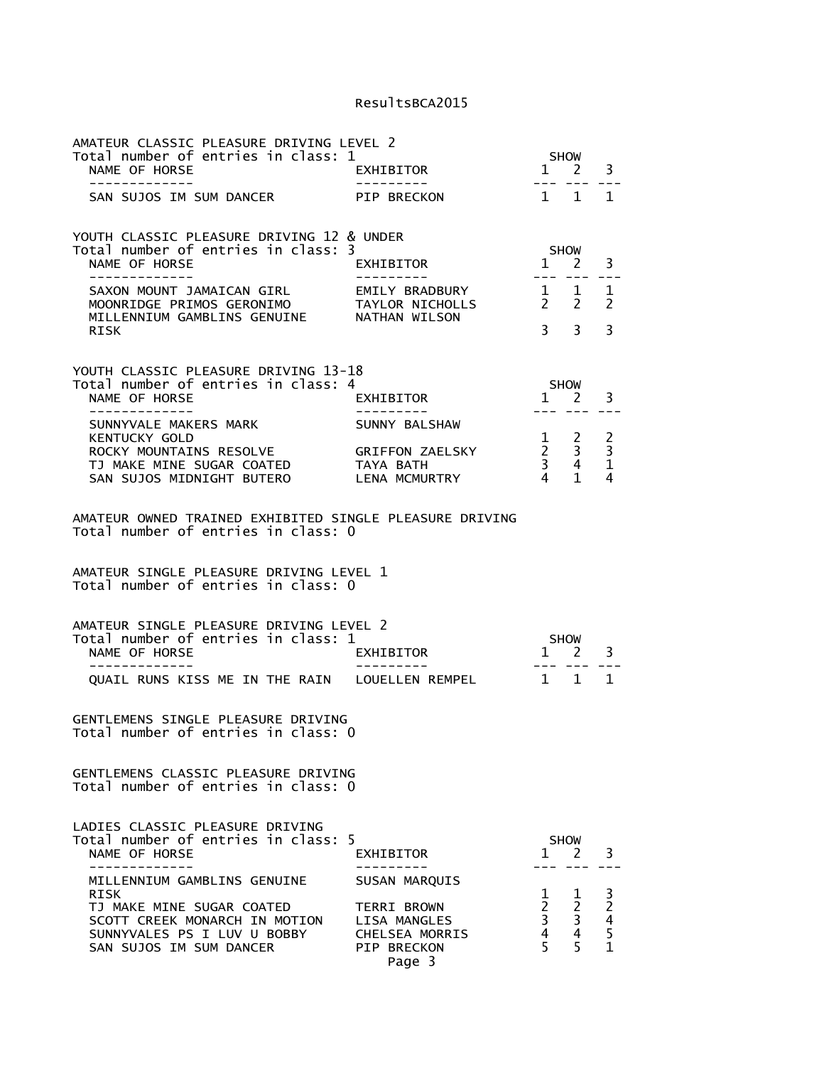| AMATEUR CLASSIC PLEASURE DRIVING LEVEL 2<br>Total number of entries in class: 1                     |                                       |                                                                                                                                                                                                                                                                                                                                                                                                                                              | <b>SHOW</b>                  |                                    |
|-----------------------------------------------------------------------------------------------------|---------------------------------------|----------------------------------------------------------------------------------------------------------------------------------------------------------------------------------------------------------------------------------------------------------------------------------------------------------------------------------------------------------------------------------------------------------------------------------------------|------------------------------|------------------------------------|
| NAME OF HORSE<br>-------------                                                                      | EXHIBITOR<br>----------               | $\overline{1}$<br>$- - -$                                                                                                                                                                                                                                                                                                                                                                                                                    | <sup>2</sup>                 | 3                                  |
| SAN SUJOS IM SUM DANCER PIP BRECKON                                                                 |                                       | $1 \quad 1$                                                                                                                                                                                                                                                                                                                                                                                                                                  |                              | 1                                  |
| YOUTH CLASSIC PLEASURE DRIVING 12 & UNDER                                                           |                                       |                                                                                                                                                                                                                                                                                                                                                                                                                                              |                              |                                    |
| Total number of entries in class: 3<br>NAME OF HORSE<br>--------------                              | EXHIBITOR<br>----------               | 1 2                                                                                                                                                                                                                                                                                                                                                                                                                                          | <b>SHOW</b>                  | 3                                  |
| SAXON MOUNT JAMAICAN GIRL<br>MOONRIDGE PRIMOS GERONIMO<br>MILLENNIUM GAMBLINS GENUINE NATHAN WILSON | EMILY BRADBURY<br>TAYLOR NICHOLLS     | $\frac{1}{2} \frac{1}{2} \frac{1}{2} \frac{1}{2} \frac{1}{2} \frac{1}{2} \frac{1}{2} \frac{1}{2} \frac{1}{2} \frac{1}{2} \frac{1}{2} \frac{1}{2} \frac{1}{2} \frac{1}{2} \frac{1}{2} \frac{1}{2} \frac{1}{2} \frac{1}{2} \frac{1}{2} \frac{1}{2} \frac{1}{2} \frac{1}{2} \frac{1}{2} \frac{1}{2} \frac{1}{2} \frac{1}{2} \frac{1}{2} \frac{1}{2} \frac{1}{2} \frac{1}{2} \frac{1}{2} \frac{$<br>$\begin{matrix} 1 & 1 \\ 2 & 2 \end{matrix}$ |                              | 1<br>$\overline{2}$                |
| RISK                                                                                                |                                       | 3 <sup>7</sup>                                                                                                                                                                                                                                                                                                                                                                                                                               | 3                            | 3                                  |
| YOUTH CLASSIC PLEASURE DRIVING 13-18                                                                |                                       |                                                                                                                                                                                                                                                                                                                                                                                                                                              |                              |                                    |
| Total number of entries in class: 4<br>NAME OF HORSE<br>-------------                               | EXHIBITOR                             | SHOW<br>$\overline{1}$                                                                                                                                                                                                                                                                                                                                                                                                                       | 2                            | 3                                  |
| SUNNYVALE MAKERS MARK<br><b>KENTUCKY GOLD</b>                                                       | SUNNY BALSHAW                         |                                                                                                                                                                                                                                                                                                                                                                                                                                              |                              |                                    |
| ROCKY MOUNTAINS RESOLVE<br>TJ MAKE MINE SUGAR COATED<br>SAN SUJOS MIDNIGHT BUTERO LENA MCMURTRY     | GRIFFON ZAELSKY<br>TAYA BATH          | $\begin{array}{ccc} 1 & 2 \\ 2 & 3 \\ 3 & 4 \\ 4 & 1 \end{array}$                                                                                                                                                                                                                                                                                                                                                                            |                              | $\frac{2}{3}$<br>$\mathbf{1}$<br>4 |
| AMATEUR OWNED TRAINED EXHIBITED SINGLE PLEASURE DRIVING<br>Total number of entries in class: 0      |                                       |                                                                                                                                                                                                                                                                                                                                                                                                                                              |                              |                                    |
| AMATEUR SINGLE PLEASURE DRIVING LEVEL 1<br>Total number of entries in class: 0                      |                                       |                                                                                                                                                                                                                                                                                                                                                                                                                                              |                              |                                    |
| AMATEUR SINGLE PLEASURE DRIVING LEVEL 2<br>Total number of entries in class: 1                      |                                       |                                                                                                                                                                                                                                                                                                                                                                                                                                              | <b>SHOW</b>                  |                                    |
| NAME OF HORSE                                                                                       | EXHIBITOR                             | 1<br>$- - -$                                                                                                                                                                                                                                                                                                                                                                                                                                 | 2                            | 3                                  |
| QUAIL RUNS KISS ME IN THE RAIN LOUELLEN REMPEL 1 1                                                  |                                       |                                                                                                                                                                                                                                                                                                                                                                                                                                              |                              | $\mathbf{1}$                       |
| GENTLEMENS SINGLE PLEASURE DRIVING<br>Total number of entries in class: 0                           |                                       |                                                                                                                                                                                                                                                                                                                                                                                                                                              |                              |                                    |
| GENTLEMENS CLASSIC PLEASURE DRIVING<br>Total number of entries in class: 0                          |                                       |                                                                                                                                                                                                                                                                                                                                                                                                                                              |                              |                                    |
| LADIES CLASSIC PLEASURE DRIVING<br>Total number of entries in class:<br>NAME OF HORSE               | 5<br>EXHIBITOR                        | 1                                                                                                                                                                                                                                                                                                                                                                                                                                            | <b>SHOW</b><br>2             | 3                                  |
| MILLENNIUM GAMBLINS GENUINE                                                                         | <b>SUSAN MARQUIS</b>                  |                                                                                                                                                                                                                                                                                                                                                                                                                                              |                              |                                    |
| <b>RISK</b><br>TJ MAKE MINE SUGAR COATED                                                            | <b>TERRI BROWN</b>                    | 1<br>$2^{\circ}$                                                                                                                                                                                                                                                                                                                                                                                                                             | 1<br>2                       |                                    |
| SCOTT CREEK MONARCH IN MOTION<br>SUNNYVALES PS I LUV U BOBBY                                        | LISA MANGLES<br><b>CHELSEA MORRIS</b> | $\overline{\mathbf{3}}$<br>$\overline{4}$                                                                                                                                                                                                                                                                                                                                                                                                    | 3<br>$\overline{\mathbf{4}}$ | 3<br>2<br>4<br>5<br>1              |
| SAN SUJOS IM SUM DANCER                                                                             | <b>PIP BRECKON</b><br>Page 3          | 5                                                                                                                                                                                                                                                                                                                                                                                                                                            | 5                            |                                    |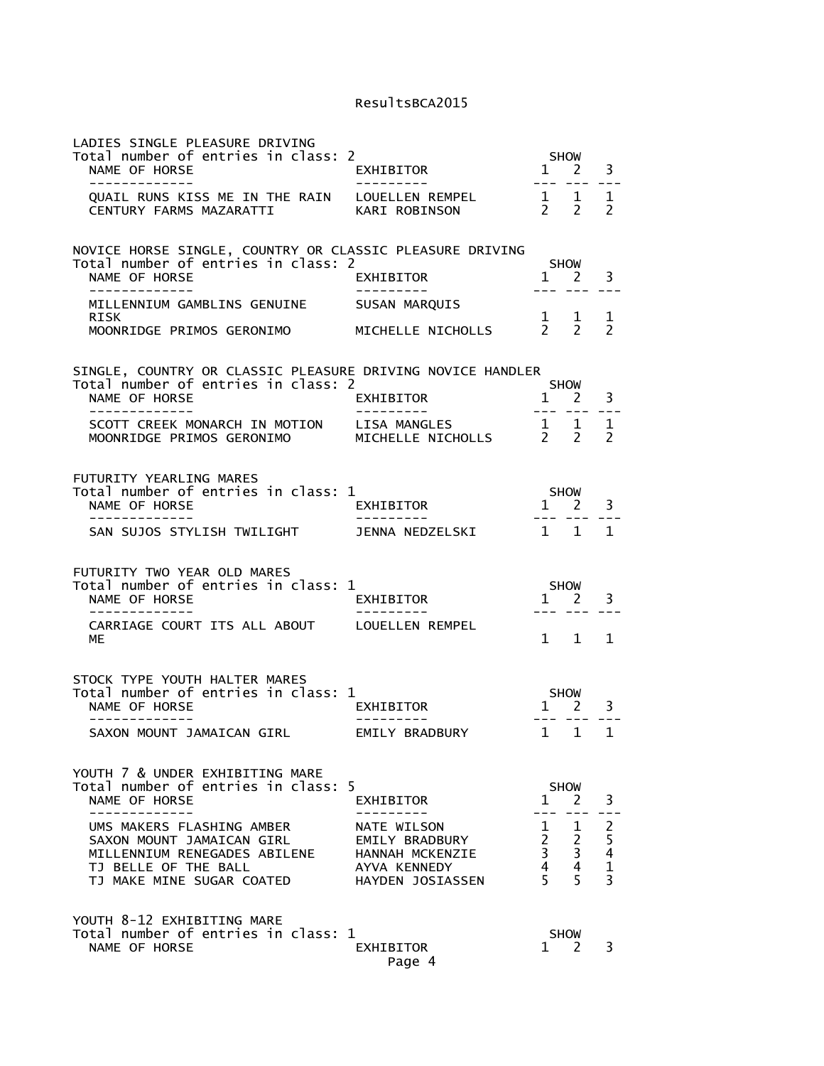| LADIES SINGLE PLEASURE DRIVING<br>Total number of entries in class: 2<br>NAME OF HORSE<br>-------------                                     | EXHIBITOR<br>----------                                                              | $\mathbf{1}$<br>$\frac{1}{2}$                                                            | <b>SHOW</b><br>2<br>$- - -$                  | 3<br>$- -$                              |
|---------------------------------------------------------------------------------------------------------------------------------------------|--------------------------------------------------------------------------------------|------------------------------------------------------------------------------------------|----------------------------------------------|-----------------------------------------|
| QUAIL RUNS KISS ME IN THE RAIN LOUELLEN REMPEL<br>CENTURY FARMS MAZARATTI                                                                   | KARI ROBINSON                                                                        | 2                                                                                        | $\frac{1}{2}$ $\frac{1}{2}$<br>$\mathcal{P}$ | 1<br>$\mathcal{P}$                      |
| NOVICE HORSE SINGLE, COUNTRY OR CLASSIC PLEASURE DRIVING<br>Total number of entries in class: 2<br>NAME OF HORSE                            | <b>EXHIBITOR</b>                                                                     |                                                                                          | <b>SHOW</b><br>$1 \quad 2$                   | 3                                       |
| MILLENNIUM GAMBLINS GENUINE<br>RISK<br>MOONRIDGE PRIMOS GERONIMO                                                                            | SUSAN MARQUIS<br>MICHELLE NICHOLLS                                                   |                                                                                          | $\begin{matrix} 1 & 1 \\ 2 & 2 \end{matrix}$ | ı<br>$\mathcal{P}$                      |
| SINGLE, COUNTRY OR CLASSIC PLEASURE DRIVING NOVICE HANDLER<br>Total number of entries in class: 2<br>NAME OF HORSE<br>_____________         | EXHIBITOR<br>----------                                                              | $\mathbf{1}$<br>$\begin{array}{cccccc} - & - & - & - & - \\ & - & - & - & - \end{array}$ | <b>SHOW</b><br>2                             | 3<br>$= -$                              |
| SCOTT CREEK MONARCH IN MOTION<br>MOONRIDGE PRIMOS GERONIMO                                                                                  | LISA MANGLES 1 1<br>MICHELLE NICHOLLS 2 2<br>LISA MANGLES                            |                                                                                          |                                              | 1<br>$\mathcal{P}$                      |
| FUTURITY YEARLING MARES<br>Total number of entries in class: 1<br>NAME OF HORSE                                                             | EXHIBITOR                                                                            | 1 2                                                                                      | <b>SHOW</b>                                  | 3                                       |
| -------------<br>SAN SUJOS STYLISH TWILIGHT                                                                                                 | ---------<br>JENNA NEDZELSKI                                                         |                                                                                          | 1 1                                          | 1                                       |
| FUTURITY TWO YEAR OLD MARES<br>Total number of entries in class: 1<br>NAME OF HORSE                                                         | EXHIBITOR                                                                            | $1 \quad$                                                                                | <b>SHOW</b><br><sup>2</sup>                  | 3                                       |
| CARRIAGE COURT ITS ALL ABOUT LOUELLEN REMPEL<br>МE                                                                                          |                                                                                      | $\mathbf{1}$                                                                             | $\mathbf{1}$                                 | 1                                       |
| STOCK TYPE YOUTH HALTER MARES<br>Total number of entries in class: 1<br>NAME OF HORSE<br>. _ _ _ _ _ _ _ _ _ _ _ _ _                        | EXHIBITOR                                                                            | $---$                                                                                    | SHOW<br>$1 \quad 2$                          | 3                                       |
| SAXON MOUNT JAMAICAN GIRL                                                                                                                   | EMILY BRADBURY                                                                       | $\mathbf{1}$                                                                             | 1                                            | $\mathbf{1}$                            |
| YOUTH 7 & UNDER EXHIBITING MARE<br>Total number of entries in class:<br>NAME OF HORSE                                                       | 5<br>EXHIBITOR                                                                       | 1                                                                                        | <b>SHOW</b><br>2                             | 3                                       |
| UMS MAKERS FLASHING AMBER<br>SAXON MOUNT JAMAICAN GIRL<br>MILLENNIUM RENEGADES ABILENE<br>TJ BELLE OF THE BALL<br>TJ MAKE MINE SUGAR COATED | NATE WILSON<br>EMILY BRADBURY<br>HANNAH MCKENZIE<br>AYVA KENNEDY<br>HAYDEN JOSIASSEN | $\mathbf{1}$<br>2 <sup>7</sup><br>$\overline{3}$<br>$\overline{4}$<br>5                  | 1<br>$\overline{c}$<br>3<br>4<br>5           | 2<br>$\frac{5}{4}$<br>$\mathbf{1}$<br>3 |
| YOUTH 8-12 EXHIBITING MARE<br>Total number of entries in class: 1<br>NAME OF HORSE                                                          | EXHIBITOR<br>Page 4                                                                  |                                                                                          | <b>SHOW</b><br>$1 \quad 2$                   | 3                                       |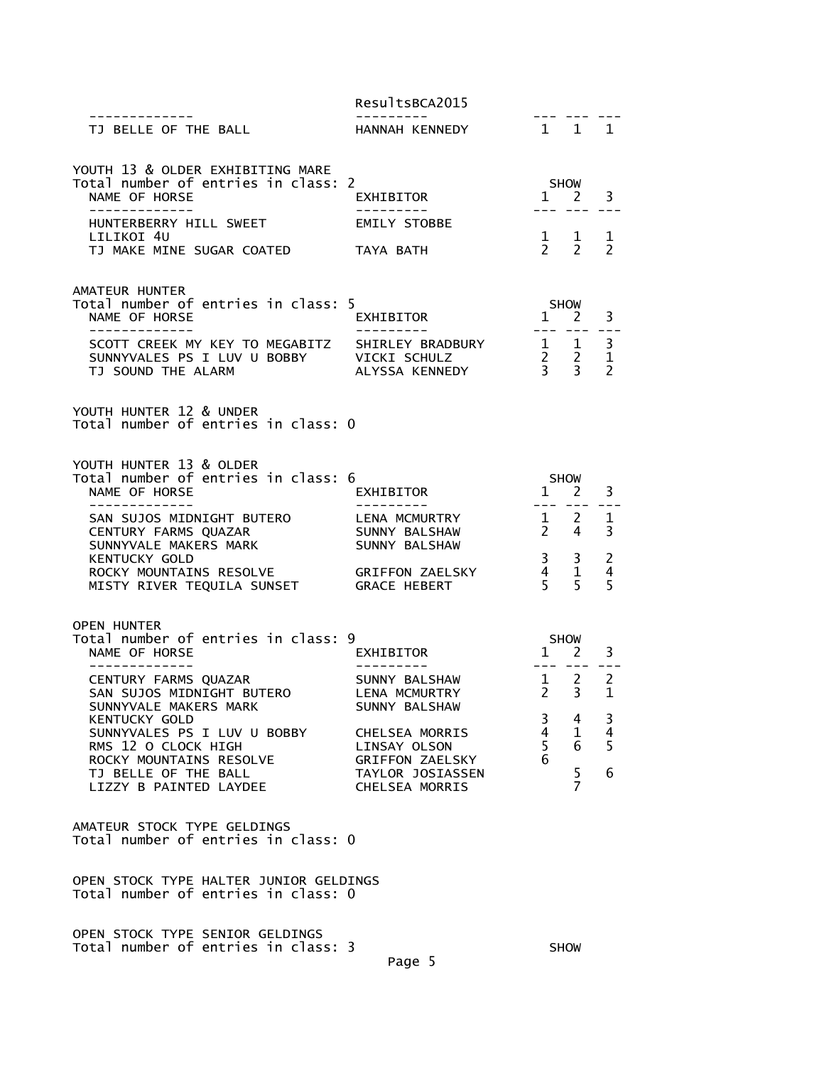|                                                                                                                                    | ResultsBCA2015                                                                                             |                                                                 |                                                                                 |                                |
|------------------------------------------------------------------------------------------------------------------------------------|------------------------------------------------------------------------------------------------------------|-----------------------------------------------------------------|---------------------------------------------------------------------------------|--------------------------------|
| . _ _ _ _ _ _ _ _ _ _ _ _<br>TJ BELLE OF THE BALL                                                                                  | . _ _ _ _ _ _ _ _<br>HANNAH KENNEDY                                                                        |                                                                 | 1 1 1                                                                           |                                |
| YOUTH 13 & OLDER EXHIBITING MARE<br>Total number of entries in class: 2<br>NAME OF HORSE<br>-------------                          | EXHIBITOR<br>---------                                                                                     |                                                                 | <b>SHOW</b><br>$1 \quad 2 \quad 3$<br>--- --- ---                               |                                |
| HUNTERBERRY HILL SWEET                                                                                                             | EMILY STOBBE                                                                                               |                                                                 |                                                                                 |                                |
| LILIKOI 4U<br>TJ MAKE MINE SUGAR COATED                                                                                            | TAYA BATH                                                                                                  |                                                                 | $\begin{matrix} 1 & 1 \\ 2 & 2 \end{matrix}$                                    | $\mathbf{1}$<br>$\overline{2}$ |
| AMATEUR HUNTER<br>Total number of entries in class: 5<br>NAME OF HORSE                                                             | EXHIBITOR                                                                                                  | SHOW                                                            | $1 \quad 2$                                                                     | 3                              |
| -------------<br>SCOTT CREEK MY KEY TO MEGABITZ SHIRLEY BRADBURY<br>SUNNYVALES PS I LUV U BOBBY VICKI SCHULZ<br>TJ SOUND THE ALARM | --------- <i>-</i><br>ALYSSA KENNEDY                                                                       |                                                                 | $\begin{array}{ccc} 1 & 1 & 3 \\ 2 & 2 & 1 \\ 3 & 3 & 2 \end{array}$            | $\sim$ $ \sim$                 |
| YOUTH HUNTER 12 & UNDER<br>Total number of entries in class: 0                                                                     |                                                                                                            |                                                                 |                                                                                 |                                |
| YOUTH HUNTER 13 & OLDER<br>Total number of entries in class: 6<br>NAME OF HORSE<br>--------------                                  | EXHIBITOR                                                                                                  | SHOW                                                            | $1 \quad 2$<br><u>--- --- --</u> -                                              | 3                              |
| SAN SUJOS MIDNIGHT BUTERO<br>CENTURY FARMS QUAZAR<br>SUNNYVALE MAKERS MARK                                                         | LENA MCMURTRY<br>SUNNY BALSHAW<br>SUNNY BALSHAW                                                            |                                                                 | $\begin{array}{cc} 1 & 2 \\ 2 & 4 \end{array}$                                  | 1<br>3                         |
| <b>KENTUCKY GOLD</b><br>ROCKY MOUNTAINS RESOLVE           GRIFFON ZAELS<br>MISTY RIVER TEQUILA SUNSET      GRACE HEBERT            | GRIFFON ZAELSKY                                                                                            | $\frac{3}{2}$<br>$\begin{array}{cc} 4 & 1 \\ 5 & 5 \end{array}$ | 3                                                                               | 2<br>$\overline{4}$<br>5       |
| <b>OPEN HUNTER</b><br>Total number of entries in class: 9<br>NAME OF HORSE<br>-------------                                        | EXHIBITOR                                                                                                  | <b>SHOW</b>                                                     | $1 \quad 2$<br>$\begin{array}{ccccccccc} - & - & - & - & - & - & - \end{array}$ | 3                              |
| CENTURY FARMS QUAZAR<br>SAN SUJOS MIDNIGHT BUTERO<br>SUNNYVALE MAKERS MARK                                                         | $\begin{array}{ccc} 1 & 2 & 2 \\ 2 & 3 & 1 \end{array}$<br>SUNNY BALSHAW<br>LENA MCMURTRY<br>SUNNY BALSHAW |                                                                 |                                                                                 |                                |
| KENTUCKY GOLD<br>SUNNYVALES PS I LUV U BOBBY<br>RMS 12 O CLOCK HIGH                                                                | CHELSEA MORRIS<br>LINSAY OLSON                                                                             | 3<br>$\frac{4}{5}$                                              | 4<br>1<br>6                                                                     | 3<br>$\overline{4}$<br>5       |
| ROCKY MOUNTAINS RESOLVE<br>TJ BELLE OF THE BALL<br>LIZZY B PAINTED LAYDEE                                                          | GRIFFON ZAELSKY<br>TAYLOR JOSIASSEN<br><b>CHELSEA MORRIS</b>                                               |                                                                 | 5<br>$\overline{7}$                                                             | 6                              |
| AMATEUR STOCK TYPE GELDINGS<br>Total number of entries in class: 0                                                                 |                                                                                                            |                                                                 |                                                                                 |                                |
| OPEN STOCK TYPE HALTER JUNIOR GELDINGS<br>Total number of entries in class: 0                                                      |                                                                                                            |                                                                 |                                                                                 |                                |
| OPEN STOCK TYPE SENIOR GELDINGS<br>Total number of entries in class: 3                                                             |                                                                                                            |                                                                 | <b>SHOW</b>                                                                     |                                |

Page 5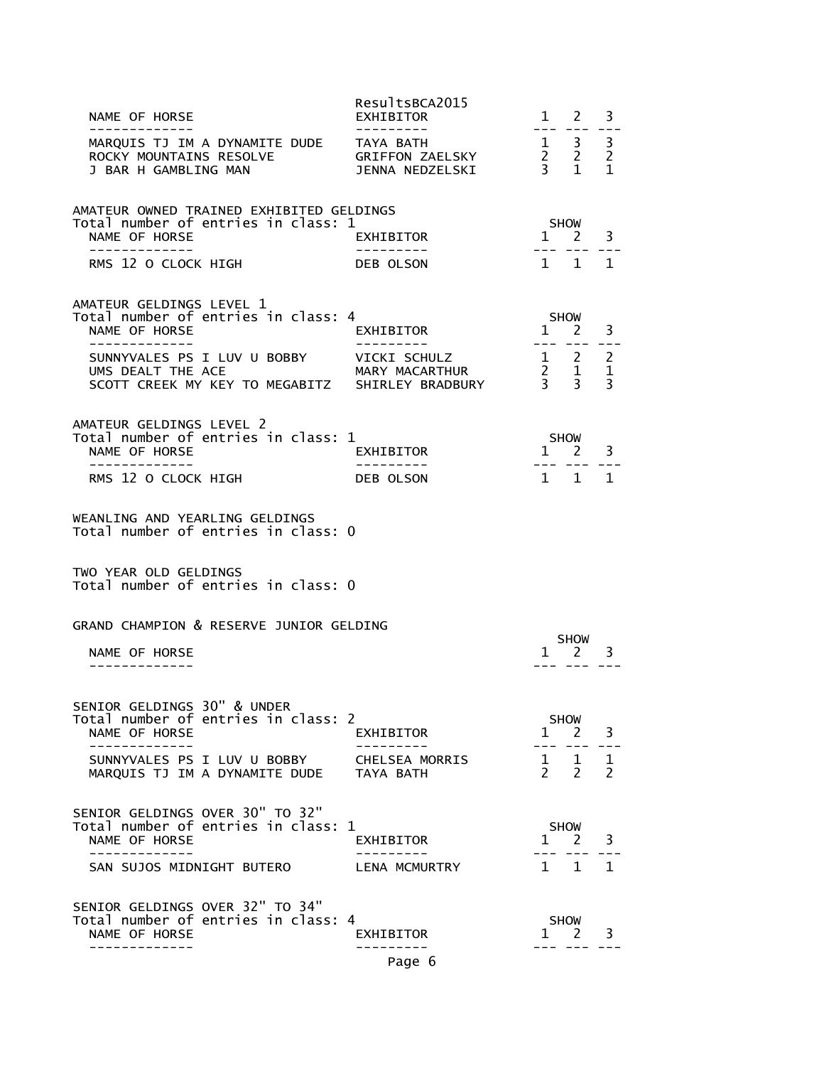| NAME OF HORSE<br>. _ _ _ _ _ _ _ _ _ _ _ _                                                                 | ResultsBCA2015<br>EXHIBITOR      | $1 \quad 2$<br>$- - -$                                                 | 3                                   |
|------------------------------------------------------------------------------------------------------------|----------------------------------|------------------------------------------------------------------------|-------------------------------------|
| MARQUIS TJ IM A DYNAMITE DUDE TAYA BATH<br>ROCKY MOUNTAINS RESOLVE GRIFFON ZAELSKY<br>J BAR H GAMBLING MAN | JENNA NEDZELSKI                  | $\begin{array}{ccc} 1 & 3 \\ 2 & 2 \\ 3 & 1 \end{array}$               | 3<br>$\overline{2}$<br>$\mathbf{1}$ |
| AMATEUR OWNED TRAINED EXHIBITED GELDINGS<br>Total number of entries in class: 1                            |                                  | SHOW                                                                   |                                     |
| NAME OF HORSE                                                                                              | EXHIBITOR                        | $1 \quad 2$                                                            | 3                                   |
| RMS 12 O CLOCK HIGH                                                                                        | DEB OLSON                        | 1 1 1                                                                  |                                     |
| AMATEUR GELDINGS LEVEL 1<br>Total number of entries in class: 4<br>NAME OF HORSE                           | EXHIBITOR                        | <b>SHOW</b><br>1 2                                                     | 3                                   |
| --------------                                                                                             | .                                | --- --- ---                                                            |                                     |
| SUNNYVALES PS I LUV U BOBBY VICKI SCHULZ                                                                   |                                  | $\begin{array}{ccccc} 1 & 2 & 2 \\ 2 & 1 & 1 \\ 3 & 3 & 3 \end{array}$ |                                     |
| AMATEUR GELDINGS LEVEL 2                                                                                   |                                  |                                                                        |                                     |
| Total number of entries in class: 1<br>NAME OF HORSE                                                       | EXHIBITOR                        | <b>SHOW</b><br>$1 \quad 2$                                             | 3                                   |
| .<br>RMS 12 O CLOCK HIGH                                                                                   | - - - - - - - - - -<br>DEB OLSON | $1 \quad 1$                                                            | 1                                   |
|                                                                                                            |                                  |                                                                        |                                     |
| WEANLING AND YEARLING GELDINGS<br>Total number of entries in class: 0                                      |                                  |                                                                        |                                     |
| TWO YEAR OLD GELDINGS<br>Total number of entries in class: 0                                               |                                  |                                                                        |                                     |
| GRAND CHAMPION & RESERVE JUNIOR GELDING                                                                    |                                  | <b>SHOW</b>                                                            |                                     |
| NAME OF HORSE                                                                                              |                                  | 1 2                                                                    | 3                                   |
| SENIOR GELDINGS 30" & UNDER<br>Total number of entries in class: 2                                         |                                  |                                                                        |                                     |
| NAME OF HORSE                                                                                              | EXHIBITOR                        | <b>SHOW</b><br>1 2                                                     | 3                                   |
| SUNNYVALES PS I LUV U BOBBY<br>MARQUIS TJ IM A DYNAMITE DUDE                                               | CHELSEA MORRIS<br>TAYA BATH      | $\frac{1}{2}$ $\frac{1}{2}$<br>$\mathcal{P}$<br>$\overline{2}$         | $\mathbf{1}$<br>$\mathcal{P}$       |
| SENIOR GELDINGS OVER 30" TO 32"<br>Total number of entries in class: 1                                     |                                  | <b>SHOW</b>                                                            |                                     |
| NAME OF HORSE                                                                                              | EXHIBITOR                        | $1 \quad 2$                                                            | 3                                   |
| -----------<br>SAN SUJOS MIDNIGHT BUTERO                                                                   | LENA MCMURTRY                    | $\mathbf{1}$<br>$\mathbf{1}$                                           | $\mathbf{1}$                        |
| SENIOR GELDINGS OVER 32" TO 34"                                                                            |                                  |                                                                        |                                     |
| Total number of entries in class: 4<br>NAME OF HORSE                                                       | EXHIBITOR<br>- - - - - - - - -   | SHOW<br>$1 \quad 2$                                                    | 3                                   |
|                                                                                                            | Page 6                           |                                                                        |                                     |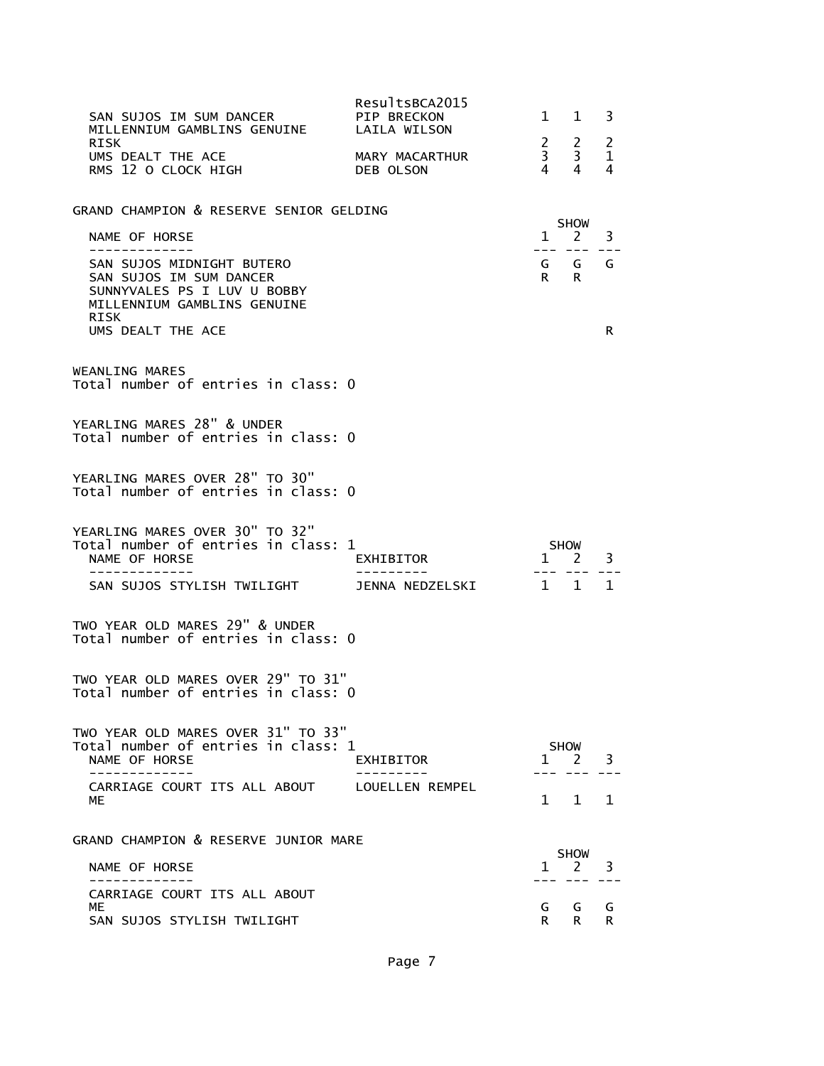| SAN SUJOS IM SUM DANCER<br>MILLENNIUM GAMBLINS GENUINE                                                                               | ResultsBCA2015<br>PIP BRECKON<br>LAILA WILSON | $1 \quad$      | $\mathbf{1}$                                         | 3           |
|--------------------------------------------------------------------------------------------------------------------------------------|-----------------------------------------------|----------------|------------------------------------------------------|-------------|
| RISK<br>UMS DEALT THE ACE<br>RMS 12 O CLOCK HIGH                                                                                     | MARY MACARTHUR<br>DEB OLSON                   | $\overline{4}$ | $\begin{array}{ccc} 2 & 2 \\ 3 & 3 \end{array}$<br>4 | 2<br>1<br>4 |
| GRAND CHAMPION & RESERVE SENIOR GELDING                                                                                              |                                               |                | <b>SHOW</b>                                          |             |
| NAME OF HORSE<br>. _ _ _ _ _ _ _ _ _ _ _ _                                                                                           |                                               | $\mathbf{1}$   | 2 —                                                  | 3           |
| SAN SUJOS MIDNIGHT BUTERO<br>SAN SUJOS IM SUM DANCER<br>SUNNYVALES PS I LUV U BOBBY<br>MILLENNIUM GAMBLINS GENUINE<br>RISK           |                                               | R a            | GGG<br>R.                                            |             |
| UMS DEALT THE ACE                                                                                                                    |                                               |                |                                                      | R           |
| WEANLING MARES<br>Total number of entries in class: 0                                                                                |                                               |                |                                                      |             |
| YEARLING MARES 28" & UNDER<br>Total number of entries in class: 0                                                                    |                                               |                |                                                      |             |
| YEARLING MARES OVER 28" TO 30"<br>Total number of entries in class: 0                                                                |                                               |                |                                                      |             |
| YEARLING MARES OVER 30" TO 32"<br>Total number of entries in class: 1<br>NAME OF HORSE<br>------------<br>SAN SUJOS STYLISH TWILIGHT | EXHIBITOR<br>JENNA NEDZELSKI                  | $\sim$ 1       | <b>SHOW</b><br>1 2<br>$\mathbf{1}$                   | 3<br>1      |
| TWO YEAR OLD MARES 29" & UNDER<br>Total number of entries in class: 0                                                                |                                               |                |                                                      |             |
| TWO YEAR OLD MARES OVER 29" TO 31"<br>Total number of entries in class: 0                                                            |                                               |                |                                                      |             |
| TWO YEAR OLD MARES OVER 31" TO 33"<br>Total number of entries in class: 1<br>NAME OF HORSE<br>----------                             | EXHIBITOR                                     |                | <b>SHOW</b><br>1 2                                   | 3           |
| CARRIAGE COURT ITS ALL ABOUT<br>МE                                                                                                   | LOUELLEN REMPEL                               | $1 \quad$      | $\mathbf{1}$                                         | 1           |
| GRAND CHAMPION & RESERVE JUNIOR MARE                                                                                                 |                                               |                |                                                      |             |
| NAME OF HORSE                                                                                                                        |                                               | 1              | <b>SHOW</b><br>2                                     | 3           |
| CARRIAGE COURT ITS ALL ABOUT                                                                                                         |                                               |                |                                                      |             |
| МE<br>SAN SUJOS STYLISH TWILIGHT                                                                                                     |                                               | G<br>R         | G<br>R                                               | G<br>R      |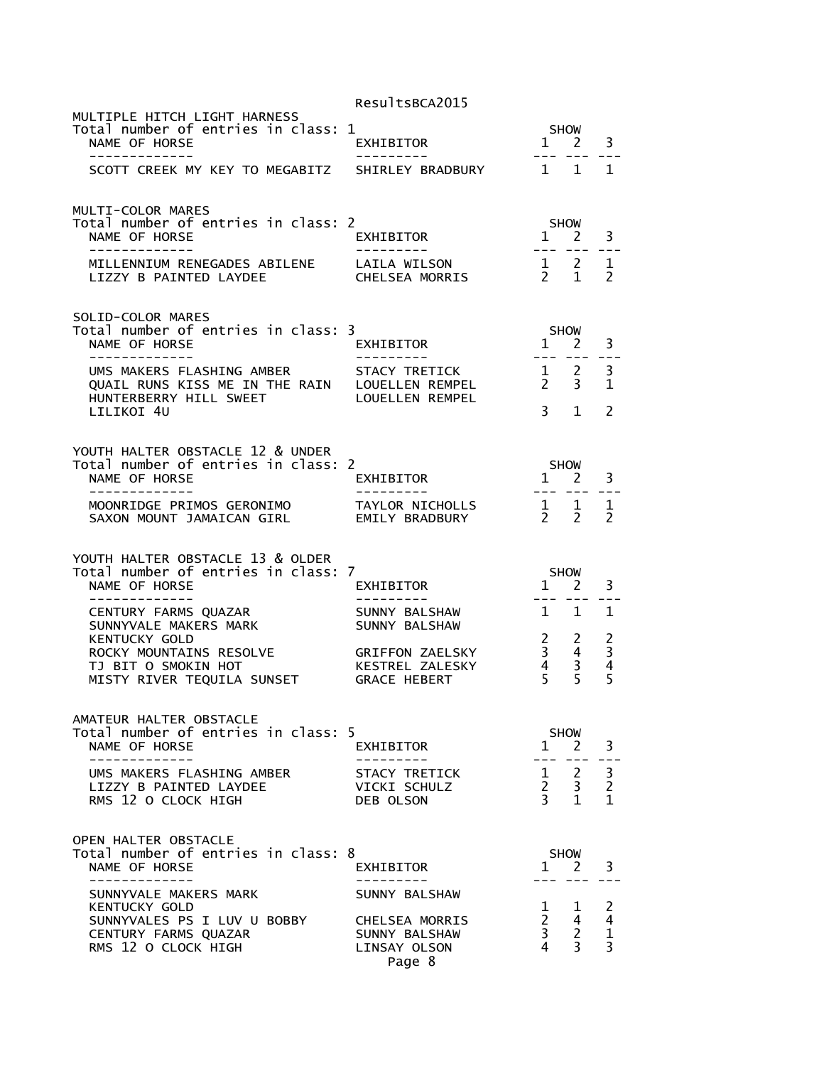|                                                                                                                             | ResultsBCA2015                                                             |                                                                                                                                                                                                                                                                                                                                                                                                             |                                                                            |                                     |
|-----------------------------------------------------------------------------------------------------------------------------|----------------------------------------------------------------------------|-------------------------------------------------------------------------------------------------------------------------------------------------------------------------------------------------------------------------------------------------------------------------------------------------------------------------------------------------------------------------------------------------------------|----------------------------------------------------------------------------|-------------------------------------|
| MULTIPLE HITCH LIGHT HARNESS<br>Total number of entries in class: 1<br>NAME OF HORSE<br>-------------                       | EXHIBITOR                                                                  |                                                                                                                                                                                                                                                                                                                                                                                                             | SHOW<br>$1 \quad 2$                                                        | 3                                   |
| SCOTT CREEK MY KEY TO MEGABITZ                                                                                              | SHIRLEY BRADBURY                                                           | $\sim$                                                                                                                                                                                                                                                                                                                                                                                                      | 1                                                                          | $\mathbf{1}$                        |
| MULTI-COLOR MARES<br>Total number of entries in class: 2<br>NAME OF HORSE<br>. <u>.</u> .                                   | EXHIBITOR                                                                  | $1 \quad 2$<br>$\frac{1}{2} \frac{1}{2} \frac{1}{2} \frac{1}{2} \frac{1}{2} \frac{1}{2} \frac{1}{2} \frac{1}{2} \frac{1}{2} \frac{1}{2} \frac{1}{2} \frac{1}{2} \frac{1}{2} \frac{1}{2} \frac{1}{2} \frac{1}{2} \frac{1}{2} \frac{1}{2} \frac{1}{2} \frac{1}{2} \frac{1}{2} \frac{1}{2} \frac{1}{2} \frac{1}{2} \frac{1}{2} \frac{1}{2} \frac{1}{2} \frac{1}{2} \frac{1}{2} \frac{1}{2} \frac{1}{2} \frac{$ | <b>SHOW</b><br>$\frac{1}{2}$                                               | 3                                   |
| MILLENNIUM RENEGADES ABILENE<br>LIZZY B PAINTED LAYDEE                                                                      | LAILA WILSON<br>CHELSEA MORRIS                                             | $\frac{1}{2}$ 2                                                                                                                                                                                                                                                                                                                                                                                             | $\mathbf{1}$                                                               | 1<br>$\mathcal{P}$                  |
| SOLID-COLOR MARES<br>Total number of entries in class: 3<br>NAME OF HORSE                                                   | EXHIBITOR                                                                  | $1 \quad$                                                                                                                                                                                                                                                                                                                                                                                                   | <b>SHOW</b><br>2                                                           | 3                                   |
| UMS MAKERS FLASHING AMBER<br>QUAIL RUNS KISS ME IN THE RAIN LOUELLEN REMPEL<br>HUNTERBERRY HILL SWEET<br>LILIKOI 4U         | STACY TRETICK<br><b>LOUELLEN REMPEL</b>                                    | $\begin{matrix} 1 & 2 \\ 2 & 3 \end{matrix}$<br>$\overline{3}$                                                                                                                                                                                                                                                                                                                                              | $\mathbf{1}$                                                               | 3<br>1<br>2                         |
| YOUTH HALTER OBSTACLE 12 & UNDER<br>Total number of entries in class: 2<br>NAME OF HORSE<br>-----------                     | EXHIBITOR                                                                  | 1 2                                                                                                                                                                                                                                                                                                                                                                                                         | <b>SHOW</b>                                                                | 3                                   |
| MOONRIDGE PRIMOS GERONIMO<br>SAXON MOUNT JAMAICAN GIRL                                                                      | TAYLOR NICHOLLS<br>EMILY BRADBURY                                          | $\frac{1}{2}$<br>$\mathcal{P}$                                                                                                                                                                                                                                                                                                                                                                              | $\mathbf 1$<br>$\overline{2}$                                              | 1<br>$\mathcal{P}$                  |
| YOUTH HALTER OBSTACLE 13 & OLDER<br>Total number of entries in class: 7<br>NAME OF HORSE                                    | EXHIBITOR                                                                  | 1                                                                                                                                                                                                                                                                                                                                                                                                           | <b>SHOW</b><br>2                                                           | 3                                   |
| CENTURY FARMS QUAZAR<br>SUNNYVALE MAKERS MARK<br><b>KENTUCKY GOLD</b><br>ROCKY MOUNTAINS RESOLVE                            | SUNNY BALSHAW<br>SUNNY BALSHAW<br><b>GRIFFON ZAELSKY</b>                   | $1 \quad 1$<br>$\begin{array}{ccc} 2 & 2 \\ 3 & 4 \\ 4 & 3 \end{array}$                                                                                                                                                                                                                                                                                                                                     |                                                                            | 1<br>2                              |
| TJ BIT O SMOKIN HOT<br>MISTY RIVER TEQUILA SUNSET                                                                           | KESTREL ZALESKY<br><b>GRACE HEBERT</b>                                     | $\overline{4}$<br>5                                                                                                                                                                                                                                                                                                                                                                                         | 3<br>5                                                                     | $\frac{3}{4}$<br>5                  |
| AMATEUR HALTER OBSTACLE<br>Total number of entries in class: 5<br>NAME OF HORSE<br>--------------                           | EXHIBITOR<br>. _ _ _ _ _ _ _ _ _                                           | $\mathbf{1}$                                                                                                                                                                                                                                                                                                                                                                                                | SHOW<br><sup>2</sup><br>$= - -$                                            | 3<br>$- -$                          |
| UMS MAKERS FLASHING AMBER<br>LIZZY B PAINTED LAYDEE<br>RMS 12 O CLOCK HIGH                                                  | STACY TRETICK<br>VICKI SCHULZ<br>DEB OLSON                                 | $1 \quad 2$<br>$\begin{array}{ccc} 2 & 3 \\ 3 & 1 \end{array}$                                                                                                                                                                                                                                                                                                                                              |                                                                            | 3<br>$\overline{2}$<br>$\mathbf{1}$ |
| OPEN HALTER OBSTACLE<br>Total number of entries in class: 8<br>NAME OF HORSE<br>----------                                  | EXHIBITOR                                                                  | 1 2                                                                                                                                                                                                                                                                                                                                                                                                         | <b>SHOW</b>                                                                | 3                                   |
| SUNNYVALE MAKERS MARK<br><b>KENTUCKY GOLD</b><br>SUNNYVALES PS I LUV U BOBBY<br>CENTURY FARMS QUAZAR<br>RMS 12 O CLOCK HIGH | SUNNY BALSHAW<br>CHELSEA MORRIS<br>SUNNY BALSHAW<br>LINSAY OLSON<br>Page 8 | 4                                                                                                                                                                                                                                                                                                                                                                                                           | $\begin{array}{ccc} 1 & 1 \\ 2 & 4 \\ 3 & 2 \end{array}$<br>$\overline{3}$ | 2<br>4<br>$\frac{1}{3}$             |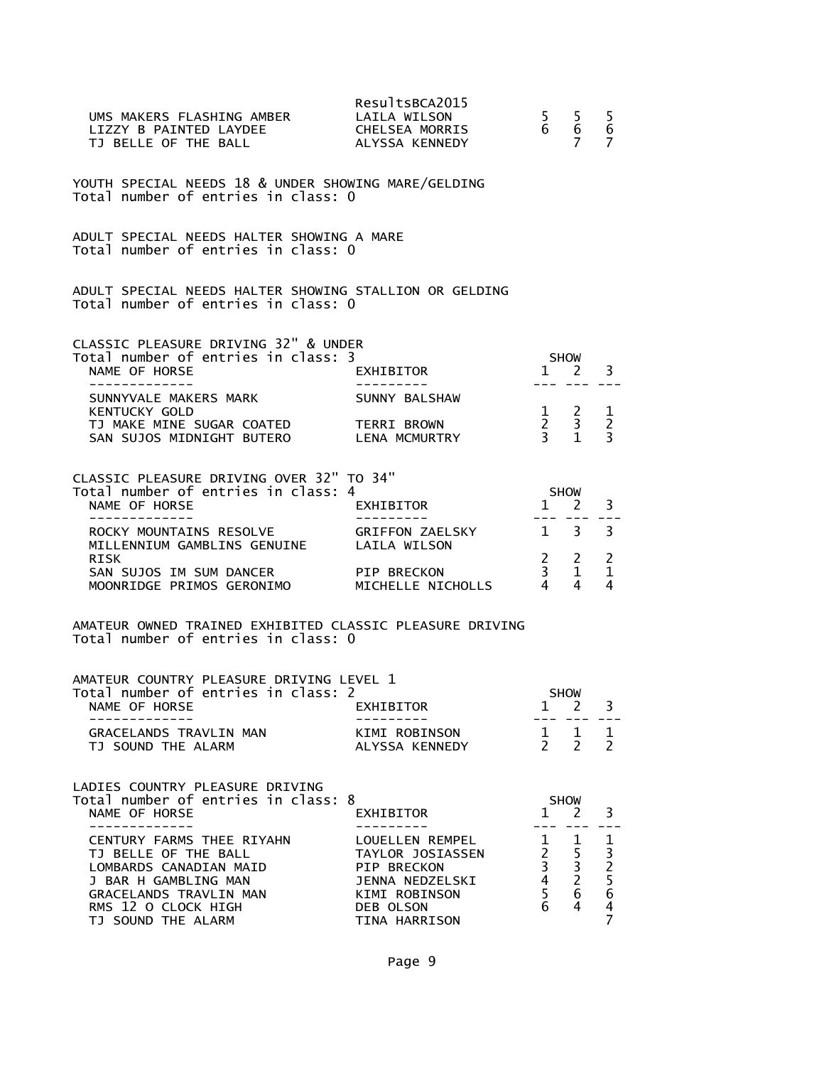| UMS MAKERS FLASHING AMBER LAILA WILSON<br>LIZZY B PAINTED LAYDEE<br>TJ BELLE OF THE BALL                                                                                   | ResultsBCA2015<br>CHELSEA MORRIS<br>ALYSSA KENNEDY                                                                   | 5 <sub>1</sub><br>$6\overline{6}$                                  | 5.<br>$rac{6}{9}$<br>$7^{\circ}$                                                                                                                                                                                                                                                                                                                                                                                    | 5<br>$6\phantom{1}6$<br>$\overline{7}$          |
|----------------------------------------------------------------------------------------------------------------------------------------------------------------------------|----------------------------------------------------------------------------------------------------------------------|--------------------------------------------------------------------|---------------------------------------------------------------------------------------------------------------------------------------------------------------------------------------------------------------------------------------------------------------------------------------------------------------------------------------------------------------------------------------------------------------------|-------------------------------------------------|
| YOUTH SPECIAL NEEDS 18 & UNDER SHOWING MARE/GELDING<br>Total number of entries in class: 0                                                                                 |                                                                                                                      |                                                                    |                                                                                                                                                                                                                                                                                                                                                                                                                     |                                                 |
| ADULT SPECIAL NEEDS HALTER SHOWING A MARE<br>Total number of entries in class: 0                                                                                           |                                                                                                                      |                                                                    |                                                                                                                                                                                                                                                                                                                                                                                                                     |                                                 |
| ADULT SPECIAL NEEDS HALTER SHOWING STALLION OR GELDING<br>Total number of entries in class: 0                                                                              |                                                                                                                      |                                                                    |                                                                                                                                                                                                                                                                                                                                                                                                                     |                                                 |
| CLASSIC PLEASURE DRIVING 32" & UNDER                                                                                                                                       |                                                                                                                      |                                                                    |                                                                                                                                                                                                                                                                                                                                                                                                                     |                                                 |
| Total number of entries in class: 3<br>NAME OF HORSE                                                                                                                       | EXHIBITOR                                                                                                            |                                                                    | SHOW<br>$1 \quad 2$                                                                                                                                                                                                                                                                                                                                                                                                 | 3                                               |
| . <u>.</u> .<br>SUNNYVALE MAKERS MARK                                                                                                                                      | SUNNY BALSHAW                                                                                                        | $---$                                                              | $\frac{1}{2} \frac{1}{2} \frac{1}{2} \frac{1}{2} \frac{1}{2} \frac{1}{2} \frac{1}{2} \frac{1}{2} \frac{1}{2} \frac{1}{2} \frac{1}{2} \frac{1}{2} \frac{1}{2} \frac{1}{2} \frac{1}{2} \frac{1}{2} \frac{1}{2} \frac{1}{2} \frac{1}{2} \frac{1}{2} \frac{1}{2} \frac{1}{2} \frac{1}{2} \frac{1}{2} \frac{1}{2} \frac{1}{2} \frac{1}{2} \frac{1}{2} \frac{1}{2} \frac{1}{2} \frac{1}{2} \frac{$                        |                                                 |
| KENTUCKY GOLD<br>TJ MAKE MINE SUGAR COATED TERRI BROWN<br>SAN SUJOS MIDNIGHT BUTERO LENA MCMURTRY                                                                          |                                                                                                                      |                                                                    | $\begin{array}{ccc} 1 & 2 \\ 2 & 3 \\ 3 & 1 \end{array}$                                                                                                                                                                                                                                                                                                                                                            | 1<br>$\overline{2}$<br>$\overline{3}$           |
| CLASSIC PLEASURE DRIVING OVER 32" TO 34"                                                                                                                                   |                                                                                                                      |                                                                    |                                                                                                                                                                                                                                                                                                                                                                                                                     |                                                 |
| Total number of entries in class: 4<br>NAME OF HORSE                                                                                                                       | EXHIBITOR                                                                                                            | SHOW                                                               | $1 \quad 2$                                                                                                                                                                                                                                                                                                                                                                                                         | 3                                               |
| ROCKY MOUNTAINS RESOLVE                                                                                                                                                    | GRIFFON ZAELSKY                                                                                                      | $- - -$                                                            | $1 \quad 3$                                                                                                                                                                                                                                                                                                                                                                                                         | 3                                               |
| MILLENNIUM GAMBLINS GENUINE LAILA WILSON                                                                                                                                   |                                                                                                                      |                                                                    |                                                                                                                                                                                                                                                                                                                                                                                                                     | 2                                               |
|                                                                                                                                                                            |                                                                                                                      |                                                                    |                                                                                                                                                                                                                                                                                                                                                                                                                     | $\mathbf 1$<br>4                                |
| AMATEUR OWNED TRAINED EXHIBITED CLASSIC PLEASURE DRIVING<br>Total number of entries in class: 0                                                                            |                                                                                                                      |                                                                    |                                                                                                                                                                                                                                                                                                                                                                                                                     |                                                 |
| AMATEUR COUNTRY PLEASURE DRIVING LEVEL 1                                                                                                                                   |                                                                                                                      |                                                                    |                                                                                                                                                                                                                                                                                                                                                                                                                     |                                                 |
| Total number of entries in class: 2<br>NAME OF HORSE                                                                                                                       | EXHIBITOR                                                                                                            | $\mathbf{1}$                                                       | SHOW<br>$\overline{2}$                                                                                                                                                                                                                                                                                                                                                                                              | 3                                               |
| . _ _ _ _ _ _ _ _ _ _ _<br>GRACELANDS TRAVLIN MAN<br>TJ SOUND THE ALARM                                                                                                    | KIMI ROBINSON<br>ALYSSA KENNEDY                                                                                      | 2 <sub>2</sub>                                                     | $\frac{1}{2} \frac{1}{2} \frac{1}{2} \frac{1}{2} \frac{1}{2} \frac{1}{2} \frac{1}{2} \frac{1}{2} \frac{1}{2} \frac{1}{2} \frac{1}{2} \frac{1}{2} \frac{1}{2} \frac{1}{2} \frac{1}{2} \frac{1}{2} \frac{1}{2} \frac{1}{2} \frac{1}{2} \frac{1}{2} \frac{1}{2} \frac{1}{2} \frac{1}{2} \frac{1}{2} \frac{1}{2} \frac{1}{2} \frac{1}{2} \frac{1}{2} \frac{1}{2} \frac{1}{2} \frac{1}{2} \frac{$<br>$1 \quad 1 \quad 1$ | 2                                               |
| LADIES COUNTRY PLEASURE DRIVING                                                                                                                                            |                                                                                                                      |                                                                    |                                                                                                                                                                                                                                                                                                                                                                                                                     |                                                 |
| Total number of entries in class: 8<br>NAME OF HORSE<br>-----------                                                                                                        | EXHIBITOR<br>---------                                                                                               | $\mathbf{1}$<br>---                                                | <b>SHOW</b><br>$\overline{2}$                                                                                                                                                                                                                                                                                                                                                                                       | 3                                               |
| CENTURY FARMS THEE RIYAHN<br>TJ BELLE OF THE BALL<br>LOMBARDS CANADIAN MAID<br>J BAR H GAMBLING MAN<br>GRACELANDS TRAVLIN MAN<br>RMS 12 O CLOCK HIGH<br>TJ SOUND THE ALARM | LOUELLEN REMPEL<br>TAYLOR JOSIASSEN<br>PIP BRECKON<br>JENNA NEDZELSKI<br>KIMI ROBINSON<br>DEB OLSON<br>TINA HARRISON | $\begin{array}{ccc} 2 & 5 \\ 3 & 3 \\ 4 & 2 \end{array}$<br>5<br>6 | $1 \quad 1$<br>$\frac{3}{2}$<br>6<br>4                                                                                                                                                                                                                                                                                                                                                                              | $\frac{1}{3}$<br>$\frac{2}{5}$<br>$\frac{6}{7}$ |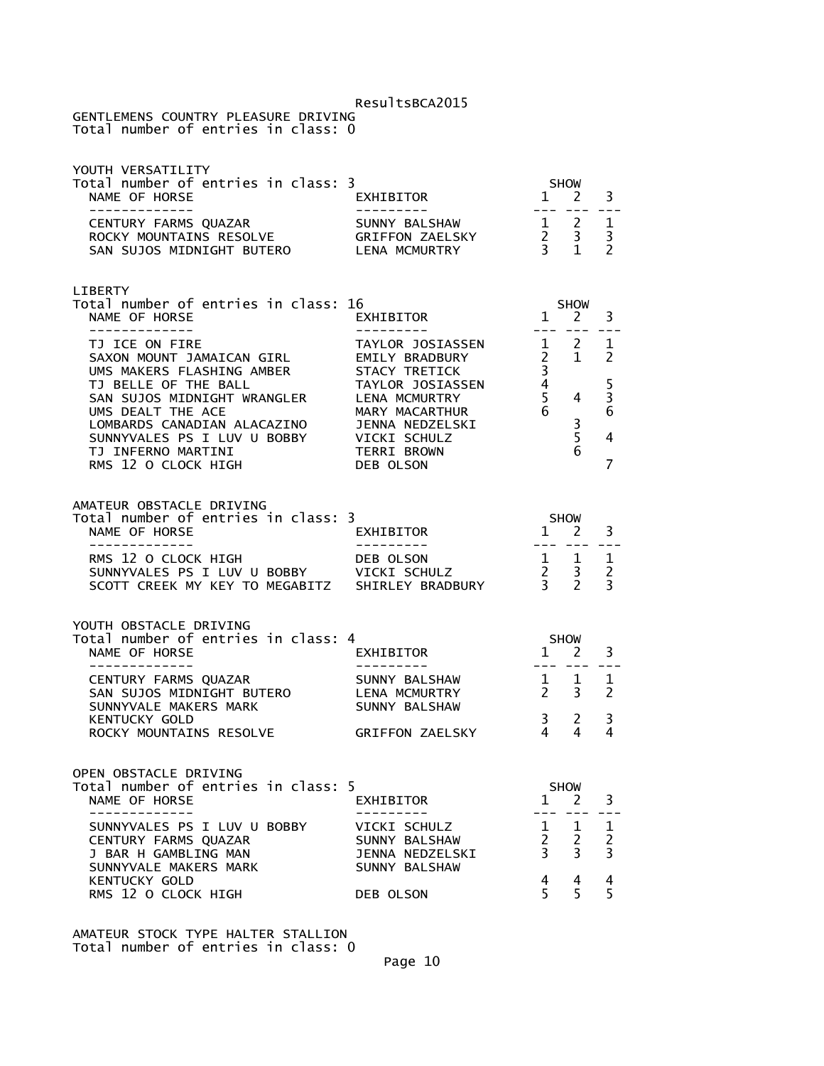GENTLEMENS COUNTRY PLEASURE DRIVING Total number of entries in class: 0

| YOUTH VERSATILITY<br>Total number of entries in class: 3<br>NAME OF HORSE                                                                                                                                                     | EXHIBITOR                                                                                                           | $\overline{1}$                                                                   | <b>SHOW</b><br>2                               | 3                                         |
|-------------------------------------------------------------------------------------------------------------------------------------------------------------------------------------------------------------------------------|---------------------------------------------------------------------------------------------------------------------|----------------------------------------------------------------------------------|------------------------------------------------|-------------------------------------------|
| _____________<br>SAN SUJOS MIDNIGHT BUTERO LENA MCMURTRY                                                                                                                                                                      | ---------                                                                                                           | $   \,$                                                                          |                                                | 1<br>3<br>$\mathcal{P}$                   |
| LIBERTY<br>Total number of entries in class: 16<br>NAME OF HORSE<br>- - - - - - - - - - - - -                                                                                                                                 | <b>EXHIBITOR</b>                                                                                                    | $\overline{1}$                                                                   | <b>SHOW</b><br>2                               | 3                                         |
| TJ ICE ON FIRE<br>SAXON MOUNT JAMAICAN GIRL EMILY BRADBURY                                                                                                                                                                    | TAYLOR JOSIASSEN                                                                                                    |                                                                                  | $1 \quad 2$<br>$2 \quad 1$                     | 1<br>2                                    |
| UMS MAKERS FLASHING AMBER<br>TJ BELLE OF THE BALL<br>SAN SUJOS MIDNIGHT WRANGLER<br>UMS DEALT THE ACE<br>LOMBARDS CANADIAN ALACAZINO<br>SUNNYVALES PS I LUV U BOBBY VICKI SCHULZ<br>TJ INFERNO MARTINI<br>RMS 12 O CLOCK HIGH | STACY TRETICK<br>TAYLOR JOSIASSEN<br>LENA MCMURTRY<br>MARY MACARTHUR<br>JENNA NEDZELSKI<br>TERRI BROWN<br>DEB OLSON | 3 <sup>7</sup><br>$\begin{array}{ccc} 4 & & & \\ 5 & & 4 \\ 6 & & & \end{array}$ | $\frac{3}{5}$<br>6                             | $\frac{5}{3}$<br>6<br>4<br>$\overline{7}$ |
| AMATEUR OBSTACLE DRIVING<br>Total number of entries in class: 3<br>NAME OF HORSE<br>-------------                                                                                                                             | EXHIBITOR                                                                                                           |                                                                                  | $5 \text{HOW}$<br>$1 \quad 2$<br>--- ---       | 3                                         |
| RMS 12 O CLOCK HIGH DEB OLSON 1 1<br>SUNNYVALES PS I LUV U BOBBY VICKI SCHULZ 2 3<br>SCOTT CREEK MY KEY TO MEGABITZ SHIRLEY BRADBURY 3 2                                                                                      |                                                                                                                     |                                                                                  |                                                | $\mathbf 1$<br>$\overline{2}$<br>3        |
| YOUTH OBSTACLE DRIVING<br>Total number of entries in class: 4                                                                                                                                                                 |                                                                                                                     |                                                                                  |                                                |                                           |
| NAME OF HORSE<br>-----------                                                                                                                                                                                                  | EXHIBITOR                                                                                                           |                                                                                  | SHOW<br>1 2                                    | 3                                         |
| CENTURY FARMS QUAZAR<br>SAN SUJOS MIDNIGHT BUTERO<br>SUNNYVALE MAKERS MARK                                                                                                                                                    | SUNNY BALSHAW<br>LENA MCMURTRY<br>SUNNY BALSHAW                                                                     |                                                                                  | $\begin{array}{cc} 1 & 1 \\ 2 & 3 \end{array}$ | 1<br>$\overline{2}$                       |
| <b>KENTUCKY GOLD</b><br>ROCKY MOUNTAINS RESOLVE                                                                                                                                                                               | GRIFFON ZAELSKY                                                                                                     | $\begin{matrix} 3 & 2 \\ 4 & 4 \end{matrix}$                                     |                                                | 3<br>4                                    |
| OPEN OBSTACLE DRIVING                                                                                                                                                                                                         |                                                                                                                     |                                                                                  |                                                |                                           |
| Total number of entries in class: 5<br>NAME OF HORSE                                                                                                                                                                          | EXHIBITOR                                                                                                           | 1<br>---                                                                         | <b>SHOW</b><br>2                               | 3                                         |
| SUNNYVALES PS I LUV U BOBBY<br>CENTURY FARMS QUAZAR<br>J BAR H GAMBLING MAN<br>SUNNYVALE MAKERS MARK                                                                                                                          | VICKI SCHULZ<br>SUNNY BALSHAW<br><b>JENNA NEDZELSKI</b><br>SUNNY BALSHAW                                            | 1<br>$\overline{2}$<br>$\overline{3}$                                            | 1<br>$\overline{c}$<br>$\overline{3}$          | 1<br>$\overline{c}$<br>$\overline{3}$     |
| <b>KENTUCKY GOLD</b><br>RMS 12 O CLOCK HIGH                                                                                                                                                                                   | DEB OLSON                                                                                                           | 4<br>5                                                                           | 4<br>5                                         | 4<br>5                                    |

AMATEUR STOCK TYPE HALTER STALLION Total number of entries in class: 0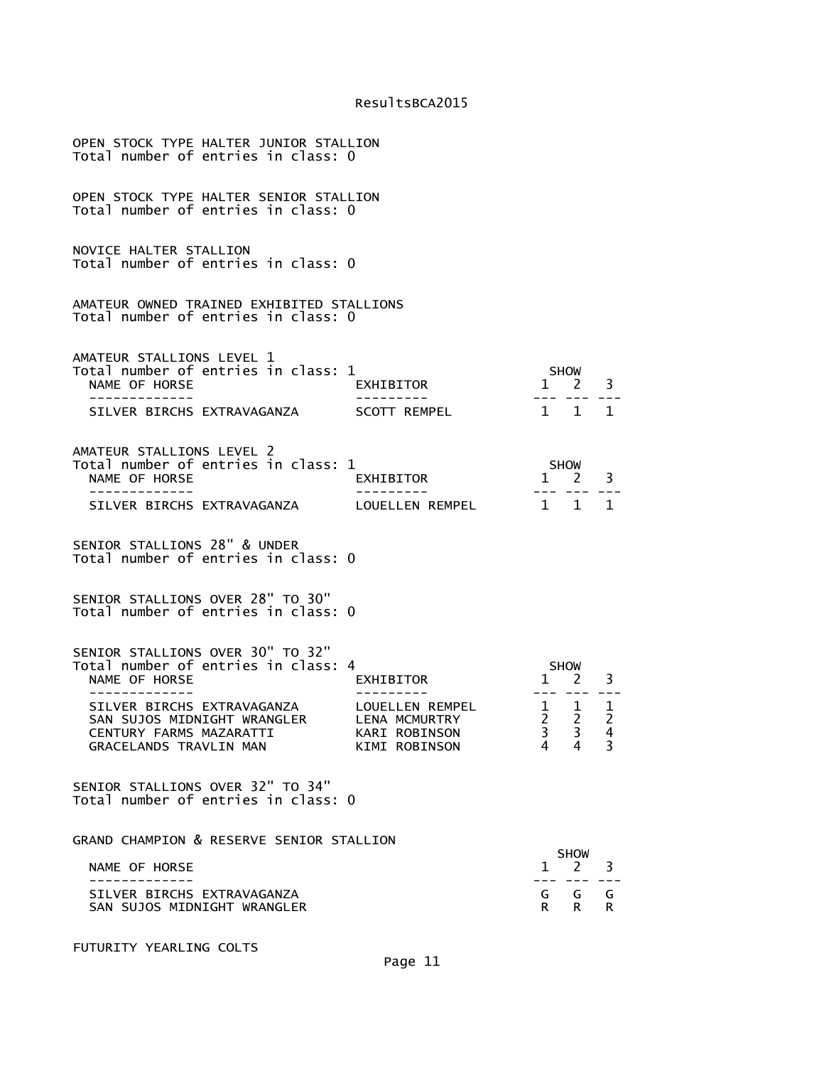| OPEN STOCK TYPE HALTER JUNIOR STALLION<br>Total number of entries in class: 0                                  |                                                                    |                                  |                                       |                                          |
|----------------------------------------------------------------------------------------------------------------|--------------------------------------------------------------------|----------------------------------|---------------------------------------|------------------------------------------|
| OPEN STOCK TYPE HALTER SENIOR STALLION<br>Total number of entries in class: 0                                  |                                                                    |                                  |                                       |                                          |
| NOVICE HALTER STALLION<br>Total number of entries in class: 0                                                  |                                                                    |                                  |                                       |                                          |
| AMATEUR OWNED TRAINED EXHIBITED STALLIONS<br>Total number of entries in class: 0                               |                                                                    |                                  |                                       |                                          |
| AMATEUR STALLIONS LEVEL 1<br>Total number of entries in class: 1<br>NAME OF HORSE<br>-----------               | EXHIBITOR                                                          |                                  | <b>SHOW</b><br>$1 \quad 2$            | 3                                        |
| SILVER BIRCHS EXTRAVAGANZA                                                                                     | SCOTT REMPEL                                                       | $1 \quad 1$                      |                                       | 1                                        |
| AMATEUR STALLIONS LEVEL 2<br>Total number of entries in class: 1<br>NAME OF HORSE<br>------------              | EXHIBITOR                                                          | --- ---                          | SHOW<br>$1 \quad 2 \quad 3$           |                                          |
| SILVER BIRCHS EXTRAVAGANZA                                                                                     | LOUELLEN REMPEL                                                    | 1 1 1                            |                                       |                                          |
| SENIOR STALLIONS 28" & UNDER<br>Total number of entries in class: 0                                            |                                                                    |                                  |                                       |                                          |
| SENIOR STALLIONS OVER 28" TO 30"<br>Total number of entries in class: 0                                        |                                                                    |                                  |                                       |                                          |
| SENIOR STALLIONS OVER 30" TO 32"<br>Total number of entries in class: 4<br>NAME OF HORSE                       | EXHIBITOR                                                          |                                  | <b>SHOW</b><br>$1 \quad 2$            | 3                                        |
| SILVER BIRCHS EXTRAVAGANZA<br>SAN SUJOS MIDNIGHT WRANGLER<br>CENTURY FARMS MAZARATTI<br>GRACELANDS TRAVLIN MAN | LOUELLEN REMPEL<br>LENA MCMURTRY<br>KARI ROBINSON<br>KIMI ROBINSON | $2^{\circ}$<br>$\mathbf{3}$<br>4 | $1 \quad 1$<br>$\mathbf{2}$<br>3<br>4 | $\mathbf{1}$<br>$\overline{2}$<br>4<br>3 |
| SENIOR STALLIONS OVER 32" TO 34"<br>Total number of entries in class: 0                                        |                                                                    |                                  |                                       |                                          |
| GRAND CHAMPION & RESERVE SENIOR STALLION                                                                       |                                                                    |                                  |                                       |                                          |
| NAME OF HORSE                                                                                                  |                                                                    | 1                                | SHOW<br>2                             | 3                                        |
| SILVER BIRCHS EXTRAVAGANZA<br>SAN SUJOS MIDNIGHT WRANGLER                                                      |                                                                    | G<br>R                           | G<br>R.                               | G<br>R.                                  |

FUTURITY YEARLING COLTS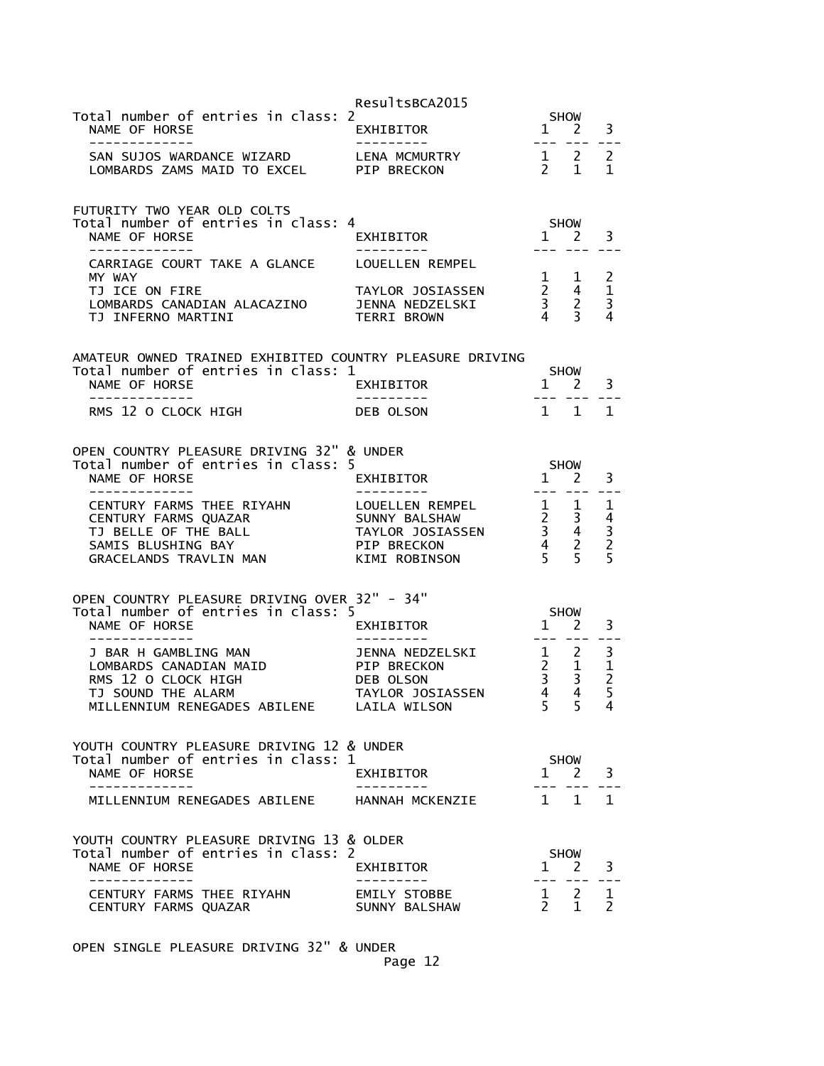|                                                                                                                                                                                | ResultsBCA2015                                                    |                                                                                                                                                                                                                                                                                                                                                                                              |                                                                                                          |                                                                        |
|--------------------------------------------------------------------------------------------------------------------------------------------------------------------------------|-------------------------------------------------------------------|----------------------------------------------------------------------------------------------------------------------------------------------------------------------------------------------------------------------------------------------------------------------------------------------------------------------------------------------------------------------------------------------|----------------------------------------------------------------------------------------------------------|------------------------------------------------------------------------|
| Total number of entries in class: 2<br>NAME OF HORSE<br>-------------                                                                                                          | EXHIBITOR<br>- - - - - - - - - -                                  | $\mathbf{1}$<br>$- - -$                                                                                                                                                                                                                                                                                                                                                                      | SHOW<br><sup>2</sup>                                                                                     | 3                                                                      |
| SAN SUJOS WARDANCE WIZARD<br>LOMBARDS ZAMS MAID TO EXCEL PIP BRECKON                                                                                                           | LENA MCMURTRY                                                     |                                                                                                                                                                                                                                                                                                                                                                                              | $\begin{array}{cc} 1 & 2 \\ 2 & 1 \end{array}$                                                           | $\overline{2}$<br>1                                                    |
| FUTURITY TWO YEAR OLD COLTS<br>Total number of entries in class: 4<br>NAME OF HORSE                                                                                            | EXHIBITOR                                                         |                                                                                                                                                                                                                                                                                                                                                                                              | SHOW<br>$1 \quad 2$                                                                                      | 3                                                                      |
| -------------<br>CARRIAGE COURT TAKE A GLANCE                                                                                                                                  | ----------<br>LOUELLEN REMPEL                                     | $- - -$                                                                                                                                                                                                                                                                                                                                                                                      | $\sim$ $\sim$ $\sim$                                                                                     |                                                                        |
| MY WAY<br>TJ ICE ON FIRE<br>LOMBARDS CANADIAN ALACAZINO<br>TJ INFERNO MARTINI                                                                                                  | TAYLOR JOSIASSEN<br>JENNA NEDZELSKI<br><b>TERRI BROWN</b>         |                                                                                                                                                                                                                                                                                                                                                                                              | $\begin{array}{ccc} 1 & 1 \\ 2 & 4 \\ 3 & 2 \\ 4 & 3 \end{array}$                                        | 2<br>$\mathbf{1}$<br>$\overline{\mathbf{3}}$<br>4                      |
| AMATEUR OWNED TRAINED EXHIBITED COUNTRY PLEASURE DRIVING<br>Total number of entries in class: 1<br>NAME OF HORSE                                                               | EXHIBITOR                                                         |                                                                                                                                                                                                                                                                                                                                                                                              | SHOW<br>$1 \quad 2$                                                                                      | 3                                                                      |
| -------------<br>RMS 12 O CLOCK HIGH                                                                                                                                           | ----------<br>DEB OLSON                                           | $   \,$<br>$1 \quad 1$                                                                                                                                                                                                                                                                                                                                                                       | $\frac{1}{2}$                                                                                            | $\mathbf{1}$                                                           |
| OPEN COUNTRY PLEASURE DRIVING 32" & UNDER<br>Total number of entries in class: 5<br>NAME OF HORSE<br>CENTURY FARMS THEE RIYAHN<br>CENTURY FARMS QUAZAR<br>TJ BELLE OF THE BALL | EXHIBITOR<br>LOUELLEN REMPEL<br>SUNNY BALSHAW<br>TAYLOR JOSIASSEN | $- - - -$                                                                                                                                                                                                                                                                                                                                                                                    | <b>SHOW</b><br>$1 \quad 2$<br>$\begin{array}{ccc} 1 & 1 \\ 2 & 3 \\ 3 & 4 \\ 4 & 2 \\ 5 & 5 \end{array}$ | 3<br>1<br>$\overline{4}$<br>$\begin{array}{c} 3 \\ 2 \\ 5 \end{array}$ |
| SAMIS BLUSHING BAY<br>GRACELANDS TRAVLIN MAN<br>OPEN COUNTRY PLEASURE DRIVING OVER 32" - 34"<br>Total number of entries in class: 5<br>NAME OF HORSE<br>-------------          | PIP BRECKON<br>KIMI ROBINSON<br>EXHIBITOR<br>. <u>.</u> .         | $\frac{1}{2} \frac{1}{2} \frac{1}{2} \frac{1}{2} \frac{1}{2} \frac{1}{2} \frac{1}{2} \frac{1}{2} \frac{1}{2} \frac{1}{2} \frac{1}{2} \frac{1}{2} \frac{1}{2} \frac{1}{2} \frac{1}{2} \frac{1}{2} \frac{1}{2} \frac{1}{2} \frac{1}{2} \frac{1}{2} \frac{1}{2} \frac{1}{2} \frac{1}{2} \frac{1}{2} \frac{1}{2} \frac{1}{2} \frac{1}{2} \frac{1}{2} \frac{1}{2} \frac{1}{2} \frac{1}{2} \frac{$ | <b>SHOW</b><br>$1 \quad 2$                                                                               | 3                                                                      |
| J BAR H GAMBLING MAN<br>LOMBARDS CANADIAN MAID<br>RMS 12 O CLOCK HIGH<br>TJ SOUND THE ALARM<br>MILLENNIUM RENEGADES ABILENE LAILA WILSON                                       | JENNA NEDZELSKI<br>PIP BRECKON<br>DEB OLSON<br>TAYLOR JOSIASSEN   | $\begin{matrix}2&1\\3&3\end{matrix}$<br>$\overline{4}$<br>5 <sup>1</sup>                                                                                                                                                                                                                                                                                                                     | $\frac{1}{2}$ 2<br>4<br>5.                                                                               | 3<br>$\frac{1}{2}$<br>5<br>4                                           |
| YOUTH COUNTRY PLEASURE DRIVING 12 & UNDER<br>Total number of entries in class: 1<br>NAME OF HORSE                                                                              | EXHIBITOR                                                         |                                                                                                                                                                                                                                                                                                                                                                                              | SHOW<br>$1 \quad 2$                                                                                      | 3                                                                      |
| . _ _ _ _ _ _ _ _ _ _<br>MILLENNIUM RENEGADES ABILENE                                                                                                                          | HANNAH MCKENZIE                                                   | $\mathbf{1}$                                                                                                                                                                                                                                                                                                                                                                                 | $\mathbf{1}$                                                                                             | 1                                                                      |
| YOUTH COUNTRY PLEASURE DRIVING 13 & OLDER<br>Total number of entries in class: 2<br>NAME OF HORSE<br>-----------                                                               | EXHIBITOR                                                         |                                                                                                                                                                                                                                                                                                                                                                                              | SHOW<br>$1 \quad 2$<br>--- ---                                                                           | 3                                                                      |
| CENTURY FARMS THEE RIYAHN<br>CENTURY FARMS QUAZAR                                                                                                                              | EMILY STOBBE<br>SUNNY BALSHAW                                     |                                                                                                                                                                                                                                                                                                                                                                                              | $\begin{matrix} 1 & 2 \\ 2 & 1 \end{matrix}$                                                             | 1<br>2                                                                 |

OPEN SINGLE PLEASURE DRIVING 32" & UNDER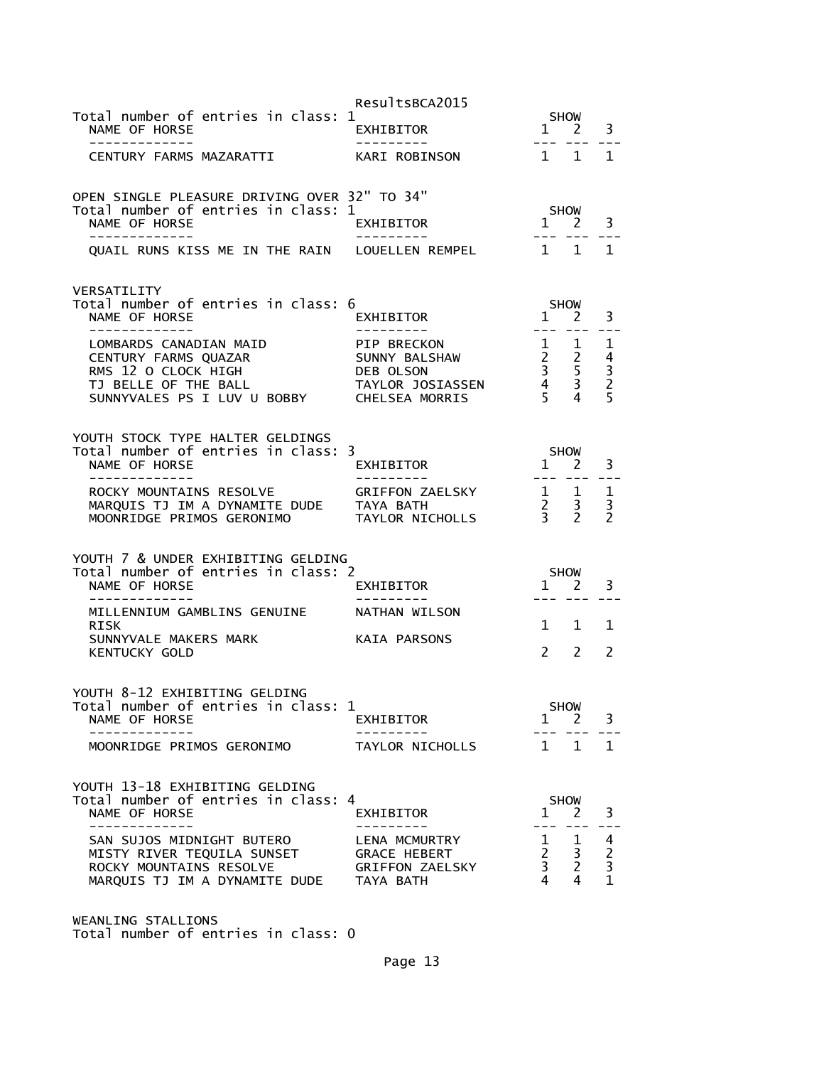|                                                                                     | ResultsBCA2015                 |                                                          |                             |                                            |
|-------------------------------------------------------------------------------------|--------------------------------|----------------------------------------------------------|-----------------------------|--------------------------------------------|
| Total number of entries in class: 1<br>NAME OF HORSE<br>-------------               | <b>EXHIBITOR</b><br>---------- | $\mathbf{1}$                                             | <b>SHOW</b><br><sup>2</sup> | 3                                          |
| CENTURY FARMS MAZARATTI                                                             | KARI ROBINSON                  | 1 1                                                      |                             | 1                                          |
|                                                                                     |                                |                                                          |                             |                                            |
| OPEN SINGLE PLEASURE DRIVING OVER 32" TO 34"<br>Total number of entries in class: 1 |                                |                                                          | <b>SHOW</b>                 |                                            |
| NAME OF HORSE                                                                       | EXHIBITOR                      |                                                          | $1 \quad 2$                 | 3                                          |
| QUAIL RUNS KISS ME IN THE RAIN LOUELLEN REMPEL                                      |                                | $1 \quad 1$                                              |                             | $\mathbf{1}$                               |
| VERSATILITY                                                                         |                                |                                                          |                             |                                            |
| Total number of entries in class: 6<br>NAME OF HORSE                                | EXHIBITOR                      | 1 2                                                      | <b>SHOW</b>                 | 3                                          |
| --------------                                                                      |                                | $- - -$                                                  |                             |                                            |
| LOMBARDS CANADIAN MAID<br>CENTURY FARMS QUAZAR                                      | PIP BRECKON<br>SUNNY BALSHAW   | 1                                                        | $\mathbf{1}$                | 1                                          |
| RMS 12 O CLOCK HIGH                                                                 | DEB OLSON                      | $\begin{array}{ccc} 2 & 2 \\ 3 & 5 \\ 4 & 3 \end{array}$ |                             | $\frac{4}{3}$<br>$\frac{2}{5}$             |
| TJ BELLE OF THE BALL<br>SUNNYVALES PS I LUV U BOBBY CHELSEA MORRIS                  | TAYLOR JOSIASSEN               | 5 <sup>5</sup>                                           | 4                           |                                            |
|                                                                                     |                                |                                                          |                             |                                            |
| YOUTH STOCK TYPE HALTER GELDINGS                                                    |                                |                                                          |                             |                                            |
| Total number of entries in class: 3<br>NAME OF HORSE                                | EXHIBITOR                      | 1 2                                                      | <b>SHOW</b>                 | 3                                          |
| -------------<br>ROCKY MOUNTAINS RESOLVE                                            | ----------<br>GRIFFON ZAELSKY  | $- - -$<br>$\frac{1}{2}$ $\frac{1}{2}$                   |                             | 1                                          |
| MARQUIS TJ IM A DYNAMITE DUDE TAYA BATH                                             |                                | $\frac{2}{3}$                                            | $\mathbf{3}$                | 3                                          |
| MOONRIDGE PRIMOS GERONIMO                                                           | TAYLOR NICHOLLS                |                                                          | $\overline{2}$              | $\overline{2}$                             |
| YOUTH 7 & UNDER EXHIBITING GELDING                                                  |                                |                                                          |                             |                                            |
| Total number of entries in class: 2<br>NAME OF HORSE                                | EXHIBITOR                      | $1 \quad 2$                                              | <b>SHOW</b>                 | 3                                          |
| -----------                                                                         |                                | --- ---                                                  |                             |                                            |
| MILLENNIUM GAMBLINS GENUINE<br>RISK                                                 | NATHAN WILSON                  | $1 \quad 1$                                              |                             | 1                                          |
| SUNNYVALE MAKERS MARK                                                               | KAIA PARSONS                   |                                                          |                             |                                            |
| <b>KENTUCKY GOLD</b>                                                                |                                | $\mathcal{P}$                                            | $\mathcal{P}$               | $\mathcal{P}$                              |
| YOUTH 8-12 EXHIBITING GELDING                                                       |                                |                                                          |                             |                                            |
| Total number of entries in class: 1<br>NAME OF HORSE                                | EXHIBITOR                      | $\mathbf{1}$                                             | <b>SHOW</b><br>2            | 3                                          |
|                                                                                     |                                |                                                          |                             |                                            |
| MOONRIDGE PRIMOS GERONIMO                                                           | TAYLOR NICHOLLS                | $1 \quad 1$                                              |                             | $\mathbf{1}$                               |
| YOUTH 13-18 EXHIBITING GELDING                                                      |                                |                                                          |                             |                                            |
| Total number of entries in class: 4<br>NAME OF HORSE                                | EXHIBITOR                      | $1 \quad 2$                                              | <b>SHOW</b>                 | 3                                          |
| -------------                                                                       | --------                       | $- - -$                                                  | ---                         |                                            |
| SAN SUJOS MIDNIGHT BUTERO<br>MISTY RIVER TEQUILA SUNSET                             | LENA MCMURTRY<br>GRACE HEBERT  | 1<br>$2^{\circ}$                                         | 1<br>$\mathbf{3}$           | 4                                          |
| ROCKY MOUNTAINS RESOLVE                                                             | <b>GRIFFON ZAELSKY</b>         | 3 <sup>7</sup>                                           | $\overline{2}$              | $\begin{array}{c} 2 \\ 3 \\ 1 \end{array}$ |
| MARQUIS TJ IM A DYNAMITE DUDE                                                       | TAYA BATH                      | 4                                                        | 4                           |                                            |

WEANLING STALLIONS Total number of entries in class: 0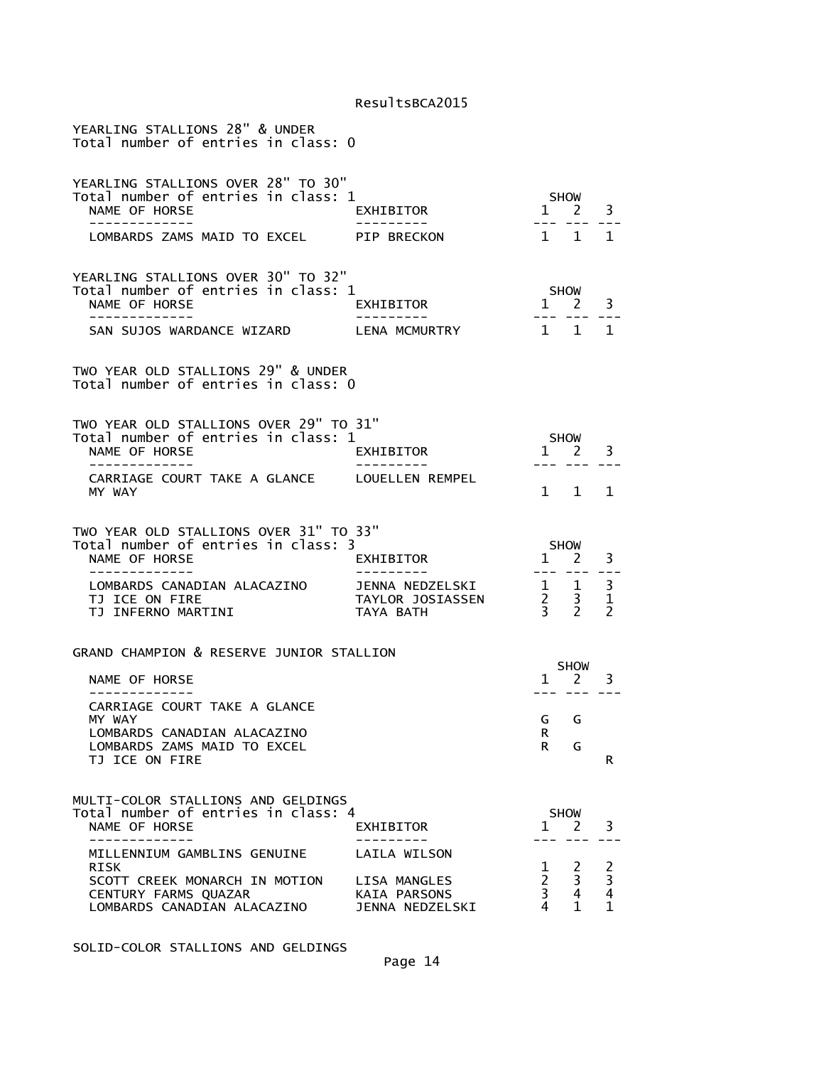| YEARLING STALLIONS 28" & UNDER<br>Total number of entries in class: 0                                                                                                                                  |                                                                        |                                                                   |                            |                                                            |
|--------------------------------------------------------------------------------------------------------------------------------------------------------------------------------------------------------|------------------------------------------------------------------------|-------------------------------------------------------------------|----------------------------|------------------------------------------------------------|
| YEARLING STALLIONS OVER 28" TO 30"<br>Total number of entries in class: 1<br>NAME OF HORSE<br>. _ _ _ _ _ _ _ _ _ _ _ _                                                                                | EXHIBITOR<br>. <u>.</u> .                                              |                                                                   | SHOW<br>1 2 3<br>--- ---   | $- - -$                                                    |
| LOMBARDS ZAMS MAID TO EXCEL PIP BRECKON                                                                                                                                                                |                                                                        | 1 1                                                               |                            | 1                                                          |
| YEARLING STALLIONS OVER 30" TO 32"<br>Total number of entries in class: 1<br>NAME OF HORSE<br>-------------<br>SAN SUJOS WARDANCE WIZARD LENA MCMURTRY                                                 | EXHIBITOR                                                              | $1 \quad 2$                                                       | SHOW<br>1 1 1              | 3                                                          |
| TWO YEAR OLD STALLIONS 29" & UNDER<br>Total number of entries in class: 0                                                                                                                              |                                                                        |                                                                   |                            |                                                            |
| TWO YEAR OLD STALLIONS OVER 29" TO 31"<br>Total number of entries in class: 1<br>NAME OF HORSE                                                                                                         | EXHIBITOR                                                              | $1\overline{2}$                                                   | SHOW                       | 3                                                          |
| CARRIAGE COURT TAKE A GLANCE LOUELLEN REMPEL<br>MY WAY                                                                                                                                                 |                                                                        |                                                                   | 1 1                        | 1                                                          |
| TWO YEAR OLD STALLIONS OVER 31" TO 33"<br>Total number of entries in class: 3<br>NAME OF HORSE<br>-------------<br>LOMBARDS CANADIAN ALACAZINO JENNA NEDZELSKI<br>TJ ICE ON FIRE<br>TJ INFERNO MARTINI | EXHIBITOR<br>TAYLOR JOSIASSEN<br>TAYA BATH                             | $\frac{1}{2}$ 1<br>$\begin{array}{cc} 2 & 3 \\ 3 & 2 \end{array}$ | SHOW<br>1 2                | 3<br>3<br>$\mathbf 1$<br>$\mathcal{P}$                     |
| GRAND CHAMPION & RESERVE JUNIOR STALLION                                                                                                                                                               |                                                                        |                                                                   | SHOW                       |                                                            |
| NAME OF HORSE                                                                                                                                                                                          |                                                                        |                                                                   | $1 \quad 2$<br>--- --- --- | 3                                                          |
| CARRIAGE COURT TAKE A GLANCE<br>MY WAY<br>LOMBARDS CANADIAN ALACAZINO<br>LOMBARDS ZAMS MAID TO EXCEL<br>TJ ICE ON FIRE                                                                                 |                                                                        | G<br>R<br>R                                                       | G<br>G                     | R                                                          |
| MULTI-COLOR STALLIONS AND GELDINGS<br>Total number of entries in class: 4<br>NAME OF HORSE                                                                                                             | EXHIBITOR                                                              | 1                                                                 | <b>SHOW</b><br>2           | 3                                                          |
| MILLENNIUM GAMBLINS GENUINE<br>RISK<br>SCOTT CREEK MONARCH IN MOTION<br>CENTURY FARMS QUAZAR<br>LOMBARDS CANADIAN ALACAZINO                                                                            | LAILA WILSON<br>LISA MANGLES<br><b>KAIA PARSONS</b><br>JENNA NEDZELSKI | 1<br>$\overline{2}$<br>3<br>4                                     | 2<br>3<br>4<br>1           | $\begin{array}{c} 2 \\ 3 \\ 4 \end{array}$<br>$\mathbf{1}$ |

SOLID-COLOR STALLIONS AND GELDINGS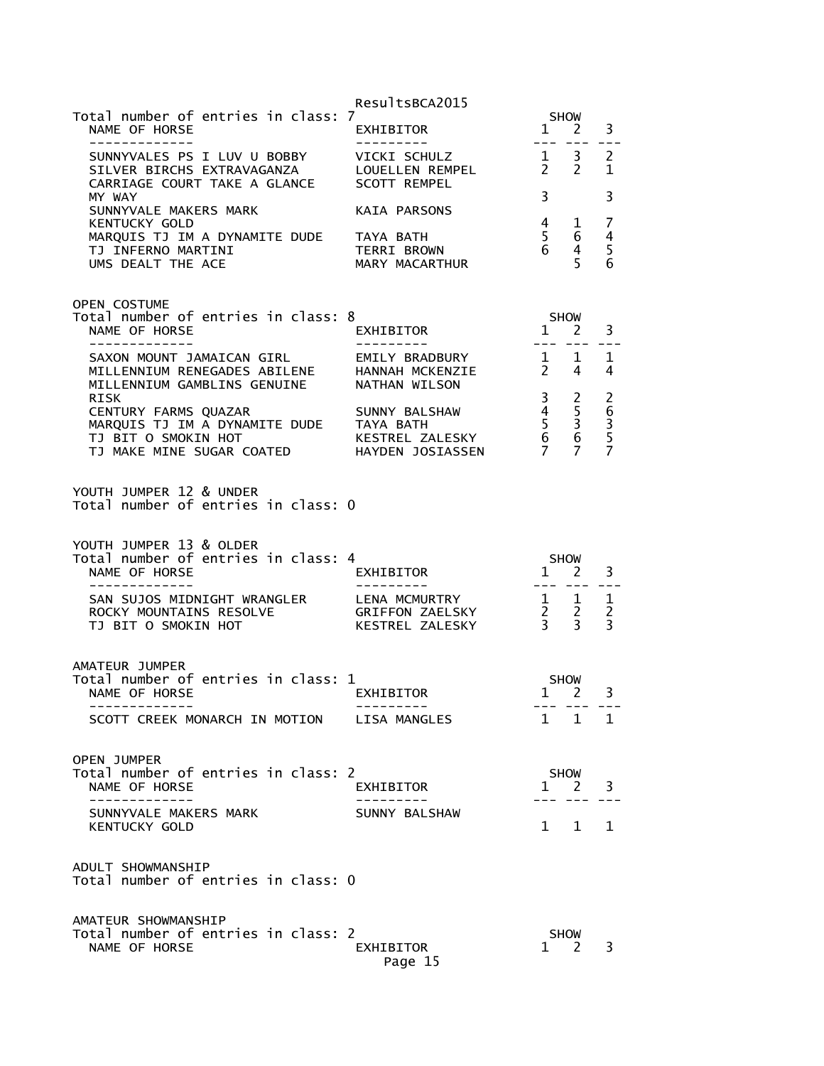|                                                                                                                                               | ResultsBCA2015                       |                                   |                                                                           |                                                  |
|-----------------------------------------------------------------------------------------------------------------------------------------------|--------------------------------------|-----------------------------------|---------------------------------------------------------------------------|--------------------------------------------------|
| Total number of entries in class: 7<br>NAME OF HORSE<br>-------------                                                                         | EXHIBITOR<br>----------              |                                   | SHOW<br>$1 \quad 2$                                                       | 3                                                |
| SUNNYVALES PS I LUV U BOBBY VICKI SCHULZ<br>SILVER BIRCHS EXTRAVAGANZA       LOUELLEN REMPEL<br>CARRIAGE COURT TAKE A GLANCE     SCOTT REMPEL |                                      | $\overline{1}$<br>$2\overline{2}$ | 3 <sup>7</sup>                                                            | $\overline{c}$<br>$\mathbf{1}$                   |
| MY WAY<br>SUNNYVALE MAKERS MARK                                                                                                               | KAIA PARSONS                         | $\overline{3}$                    |                                                                           | 3                                                |
| <b>KENTUCKY GOLD</b><br>MARQUIS TJ IM A DYNAMITE DUDE TAYA BATH<br>TJ INFERNO MARTINI<br>UMS DEALT THE ACE                                    | TERRI BROWN<br>MARY MACARTHUR        | $\frac{1}{6}$                     | $4\quad 1$<br>6<br>4 <sup>1</sup><br>5 <sup>1</sup>                       | 7<br>$\overline{4}$<br>5<br>6                    |
| <b>OPEN COSTUME</b><br>Total number of entries in class: 8                                                                                    |                                      | SHOW                              |                                                                           |                                                  |
| NAME OF HORSE<br>-------------                                                                                                                | EXHIBITOR                            |                                   | 1 2<br>--- ----                                                           | 3<br>$\sim$ $\sim$ $\sim$                        |
| SAXON MOUNT JAMAICAN GIRL EMILY BRADBURY 1 1<br>MILLENNIUM RENEGADES ABILENE<br>MILLENNIUM GAMBLINS GENUINE                                   | HANNAH MCKENZIE<br>NATHAN WILSON     | $2 \quad 4$                       |                                                                           | 1<br>4                                           |
| <b>RISK</b><br>CENTURY FARMS QUAZAR<br>MARQUIS TJ IM A DYNAMITE DUDE TAYA BATH                                                                | SUNNY BALSHAW                        |                                   |                                                                           | $\overline{c}$                                   |
|                                                                                                                                               |                                      |                                   | $\begin{array}{cc} 3 & 2 \\ 4 & 5 \\ 5 & 3 \\ 6 & 6 \\ 7 & 7 \end{array}$ | $rac{6}{3}$<br>$rac{5}{7}$                       |
| YOUTH JUMPER 12 & UNDER<br>Total number of entries in class: 0                                                                                |                                      |                                   |                                                                           |                                                  |
| YOUTH JUMPER 13 & OLDER<br>Total number of entries in class: 4<br>NAME OF HORSE                                                               | SHOW<br>1 2<br>EXHIBITOR             |                                   |                                                                           | 3                                                |
| -------------<br>SAN SUJOS MIDNIGHT WRANGLER LENA MCMURTRY<br>ROCKY MOUNTAINS RESOLVE<br>TJ BIT O SMOKIN HOT                                  | _________                            |                                   | ---- --- ---                                                              | $\mathbf{1}$<br>$\overline{2}$<br>$\overline{3}$ |
| AMATEUR JUMPER<br>Total number of entries in class: 1                                                                                         |                                      |                                   | <b>SHOW</b>                                                               | 3                                                |
| NAME OF HORSE<br>-------------                                                                                                                | EXHIBITOR                            | $1 \quad 2$                       | --- --- ---<br>$1 \quad 1 \quad 1$                                        |                                                  |
| SCOTT CREEK MONARCH IN MOTION LISA MANGLES                                                                                                    |                                      |                                   |                                                                           |                                                  |
| OPEN JUMPER<br>Total number of entries in class: 2<br>NAME OF HORSE                                                                           | EXHIBITOR                            |                                   | SHOW<br>$1 \quad 2$                                                       | 3                                                |
| -------------<br>SUNNYVALE MAKERS MARK<br><b>KENTUCKY GOLD</b>                                                                                | - - - - - - - - - -<br>SUNNY BALSHAW |                                   | --- --- ---<br>$1 \quad 1 \quad 1$                                        |                                                  |
| ADULT SHOWMANSHIP<br>Total number of entries in class: 0                                                                                      |                                      |                                   |                                                                           |                                                  |
| AMATEUR SHOWMANSHIP<br>Total number of entries in class: 2<br>NAME OF HORSE                                                                   | EXHIBITOR<br>Page 15                 | $1 \quad 2$                       | SHOW                                                                      | 3                                                |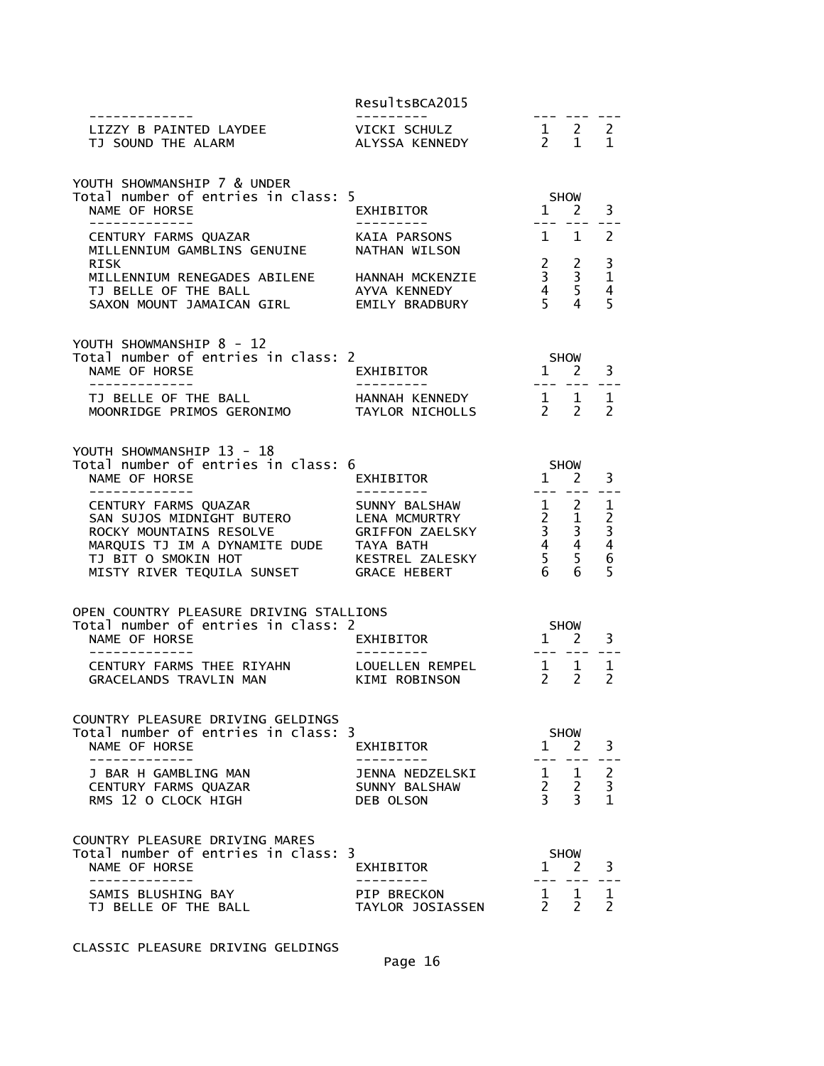| . _ _ _ _ _ _ _ _ _ _ _ _ _                                                                                                                                                  | ResultsBCA2015                                                                              |                                                                                                                                                                                                                                                                                                                                                                                                             |                                                                |                                                           |
|------------------------------------------------------------------------------------------------------------------------------------------------------------------------------|---------------------------------------------------------------------------------------------|-------------------------------------------------------------------------------------------------------------------------------------------------------------------------------------------------------------------------------------------------------------------------------------------------------------------------------------------------------------------------------------------------------------|----------------------------------------------------------------|-----------------------------------------------------------|
| LIZZY B PAINTED LAYDEE<br>TJ SOUND THE ALARM                                                                                                                                 | VICKI SCHULZ<br>ALYSSA KENNEDY                                                              | $\begin{array}{cccccc}\n1 & 2 & 2 \\ 2 & 1 & 1\n\end{array}$                                                                                                                                                                                                                                                                                                                                                | --- --- ---                                                    |                                                           |
| YOUTH SHOWMANSHIP 7 & UNDER<br>Total number of entries in class: 5                                                                                                           |                                                                                             |                                                                                                                                                                                                                                                                                                                                                                                                             |                                                                |                                                           |
| NAME OF HORSE<br>-------------                                                                                                                                               | EXHIBITOR                                                                                   | SHOW<br>1 2<br>$\frac{1}{2} \frac{1}{2} \frac{1}{2} \frac{1}{2} \frac{1}{2} \frac{1}{2} \frac{1}{2} \frac{1}{2} \frac{1}{2} \frac{1}{2} \frac{1}{2} \frac{1}{2} \frac{1}{2} \frac{1}{2} \frac{1}{2} \frac{1}{2} \frac{1}{2} \frac{1}{2} \frac{1}{2} \frac{1}{2} \frac{1}{2} \frac{1}{2} \frac{1}{2} \frac{1}{2} \frac{1}{2} \frac{1}{2} \frac{1}{2} \frac{1}{2} \frac{1}{2} \frac{1}{2} \frac{1}{2} \frac{$ |                                                                | 3                                                         |
| CENTURY FARMS QUAZAR<br>MILLENNIUM GAMBLINS GENUINE<br><b>RISK</b>                                                                                                           | KAIA PARSONS<br>NATHAN WILSON                                                               | $1 \quad 1$                                                                                                                                                                                                                                                                                                                                                                                                 |                                                                | $\overline{2}$                                            |
| MILLENNIUM RENEGADES ABILENE<br>TJ BELLE OF THE BALL<br>SAXON MOUNT JAMAICAN GIRL                                                                                            | HANNAH MCKENZIE<br>AYVA KENNEDY<br>EMILY BRADBURY                                           | $\begin{array}{ccc} 2 & 2 \\ 3 & 3 \\ 4 & 5 \\ 5 & 4 \end{array}$                                                                                                                                                                                                                                                                                                                                           |                                                                | $\frac{3}{1}$<br>$\overline{4}$<br>5                      |
| YOUTH SHOWMANSHIP 8 - 12<br>Total number of entries in class: 2<br>NAME OF HORSE<br>_____________                                                                            | EXHIBITOR<br>---------- <b>-</b>                                                            | SHOW<br>1<br>2<br>$\rightarrow$ $\rightarrow$ $\rightarrow$ $\rightarrow$ $\rightarrow$ $\rightarrow$ $\rightarrow$                                                                                                                                                                                                                                                                                         |                                                                | 3                                                         |
| TJ BELLE OF THE BALL<br>MOONRIDGE PRIMOS GERONIMO                                                                                                                            | HANNAH KENNEDY<br>TAYLOR NICHOLLS                                                           | $\begin{matrix} 1 & 1 \\ 2 & 2 \end{matrix}$                                                                                                                                                                                                                                                                                                                                                                |                                                                | 1<br>$\mathcal{P}$                                        |
| YOUTH SHOWMANSHIP 13 - 18<br>Total number of entries in class: 6<br>NAME OF HORSE<br>--------------                                                                          | EXHIBITOR                                                                                   | <b>SHOW</b><br>$1 \quad 2$                                                                                                                                                                                                                                                                                                                                                                                  | 222 222 C                                                      | 3                                                         |
| CENTURY FARMS QUAZAR<br>SAN SUJOS MIDNIGHT BUTERO<br>ROCKY MOUNTAINS RESOLVE<br>MARQUIS TJ IM A DYNAMITE DUDE TAYA BATH<br>TJ BIT O SMOKIN HOT<br>MISTY RIVER TEQUILA SUNSET | SUNNY BALSHAW<br>LENA MCMURTRY<br><b>GRIFFON ZAELSKY</b><br>KESTREL ZALESKY<br>GRACE HEBERT | $\begin{array}{cccc} 1 & 2 & 1 \\ 2 & 1 & 2 \\ 3 & 3 & 3 \\ 4 & 4 & 4 \\ 5 & 5 & 6 \\ 6 & 6 & 5 \end{array}$<br>6                                                                                                                                                                                                                                                                                           | 6                                                              | 5                                                         |
| OPEN COUNTRY PLEASURE DRIVING STALLIONS<br>Total number of entries in class: 2<br>NAME OF HORSE                                                                              | EXHIBITOR                                                                                   |                                                                                                                                                                                                                                                                                                                                                                                                             | SHOW<br>$1 \quad 2$                                            | 3                                                         |
| CENTURY FARMS THEE RIYAHN<br>GRACELANDS TRAVLIN MAN                                                                                                                          | LOUELLEN REMPEL<br>KIMI ROBINSON                                                            | $1 \quad 1$<br>$2 \quad 2$                                                                                                                                                                                                                                                                                                                                                                                  |                                                                | 1<br>$\mathcal{P}$                                        |
| COUNTRY PLEASURE DRIVING GELDINGS<br>Total number of entries in class: 3<br>NAME OF HORSE                                                                                    | EXHIBITOR                                                                                   |                                                                                                                                                                                                                                                                                                                                                                                                             | <b>SHOW</b><br>$1 \quad 2$                                     | 3                                                         |
| J BAR H GAMBLING MAN<br>CENTURY FARMS QUAZAR<br>RMS 12 O CLOCK HIGH                                                                                                          | JENNA NEDZELSKI<br>SUNNY BALSHAW<br>DEB OLSON                                               | 3 <sup>7</sup>                                                                                                                                                                                                                                                                                                                                                                                              | $\begin{matrix} 1 & 1 \\ 2 & 2 \end{matrix}$<br>$\overline{3}$ | $\overline{c}$<br>$\overline{\mathbf{3}}$<br>$\mathbf{1}$ |
| COUNTRY PLEASURE DRIVING MARES<br>Total number of entries in class: 3<br>NAME OF HORSE                                                                                       | EXHIBITOR                                                                                   | $\mathbf{1}$                                                                                                                                                                                                                                                                                                                                                                                                | SHOW<br>2                                                      | 3                                                         |
| SAMIS BLUSHING BAY<br>TJ BELLE OF THE BALL                                                                                                                                   | PIP BRECKON<br>TAYLOR JOSIASSEN                                                             | $2^{\circ}$                                                                                                                                                                                                                                                                                                                                                                                                 | $1 \quad 1$<br>2                                               | 1<br>2                                                    |

CLASSIC PLEASURE DRIVING GELDINGS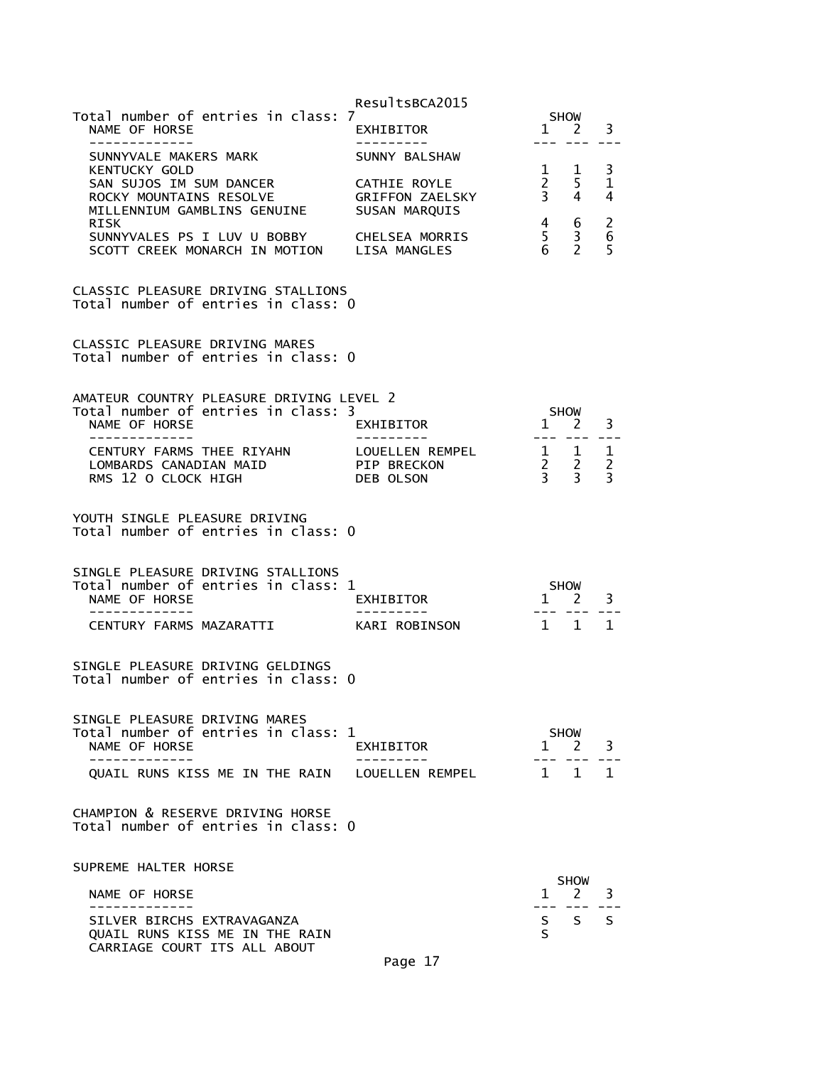|                                                                                                            | ResultsBCA2015                                          |                                             |                                                          |                                            |
|------------------------------------------------------------------------------------------------------------|---------------------------------------------------------|---------------------------------------------|----------------------------------------------------------|--------------------------------------------|
| Total number of entries in class: 7<br>NAME OF HORSE<br>-------------                                      | EXHIBITOR                                               |                                             | <b>SHOW</b><br>$1 \quad 2$                               | 3                                          |
| SUNNYVALE MAKERS MARK                                                                                      | SUNNY BALSHAW                                           |                                             |                                                          |                                            |
| <b>KENTUCKY GOLD</b><br>SAN SUJOS IM SUM DANCER<br>ROCKY MOUNTAINS RESOLVE<br>MILLENNIUM GAMBLINS GENUINE  | CATHIE ROYLE<br><b>GRIFFON ZAELSKY</b><br>SUSAN MARQUIS | 1<br>$2^{\circ}$<br>$\overline{\mathbf{3}}$ | 1<br>5<br>4                                              | 3<br>$\mathbf 1$<br>4                      |
| RISK<br>SUNNYVALES PS I LUV U BOBBY<br>SCOTT CREEK MONARCH IN MOTION LISA MANGLES                          | CHELSEA MORRIS                                          | $\begin{array}{c} 4 \\ 5 \end{array}$<br>6  | 6<br>$\frac{3}{2}$                                       | $\begin{array}{c} 2 \\ 6 \end{array}$<br>5 |
| CLASSIC PLEASURE DRIVING STALLIONS<br>Total number of entries in class: 0                                  |                                                         |                                             |                                                          |                                            |
| <b>CLASSIC PLEASURE DRIVING MARES</b><br>Total number of entries in class: 0                               |                                                         |                                             |                                                          |                                            |
| AMATEUR COUNTRY PLEASURE DRIVING LEVEL 2                                                                   |                                                         |                                             |                                                          |                                            |
| Total number of entries in class: 3<br>NAME OF HORSE<br>. <u>.</u>                                         | EXHIBITOR                                               | $1 \quad 2$<br>--- ---                      | <b>SHOW</b>                                              | 3                                          |
| CENTURY FARMS THEE RIYAHN<br>LOMBARDS CANADIAN MAID<br>RMS 12 O CLOCK HIGH                                 | LOUELLEN REMPEL<br>PIP BRECKON<br>DEB OLSON             |                                             | $\begin{array}{ccc} 1 & 1 \\ 2 & 2 \\ 3 & 3 \end{array}$ | 1<br>$\overline{2}$<br>$\overline{3}$      |
| YOUTH SINGLE PLEASURE DRIVING<br>Total number of entries in class: 0                                       |                                                         |                                             |                                                          |                                            |
| SINGLE PLEASURE DRIVING STALLIONS<br>Total number of entries in class: 1<br>NAME OF HORSE<br>------------- | EXHIBITOR<br>----------                                 | $\overline{1}$                              | <b>SHOW</b><br>2                                         | 3                                          |
| CENTURY FARMS MAZARATTI                                                                                    | KARI ROBINSON                                           | $1 \quad 1$                                 |                                                          | $\mathbf{1}$                               |
| SINGLE PLEASURE DRIVING GELDINGS<br>Total number of entries in class: 0                                    |                                                         |                                             |                                                          |                                            |
| SINGLE PLEASURE DRIVING MARES<br>Total number of entries in class: 1<br>NAME OF HORSE                      | EXHIBITOR                                               | 1.                                          | <b>SHOW</b><br>2                                         | 3                                          |
| QUAIL RUNS KISS ME IN THE RAIN                                                                             | LOUELLEN REMPEL                                         | 1                                           | 1                                                        | 1                                          |
| CHAMPION & RESERVE DRIVING HORSE<br>Total number of entries in class: 0                                    |                                                         |                                             |                                                          |                                            |
| SUPREME HALTER HORSE                                                                                       |                                                         |                                             | <b>SHOW</b>                                              |                                            |
| NAME OF HORSE                                                                                              |                                                         | $\mathbf{1}$                                | 2                                                        | 3                                          |
| SILVER BIRCHS EXTRAVAGANZA<br>QUAIL RUNS KISS ME IN THE RAIN<br>CARRIAGE COURT ITS ALL ABOUT               |                                                         | S.<br>S                                     | S.                                                       | S.                                         |
|                                                                                                            | Page 17                                                 |                                             |                                                          |                                            |